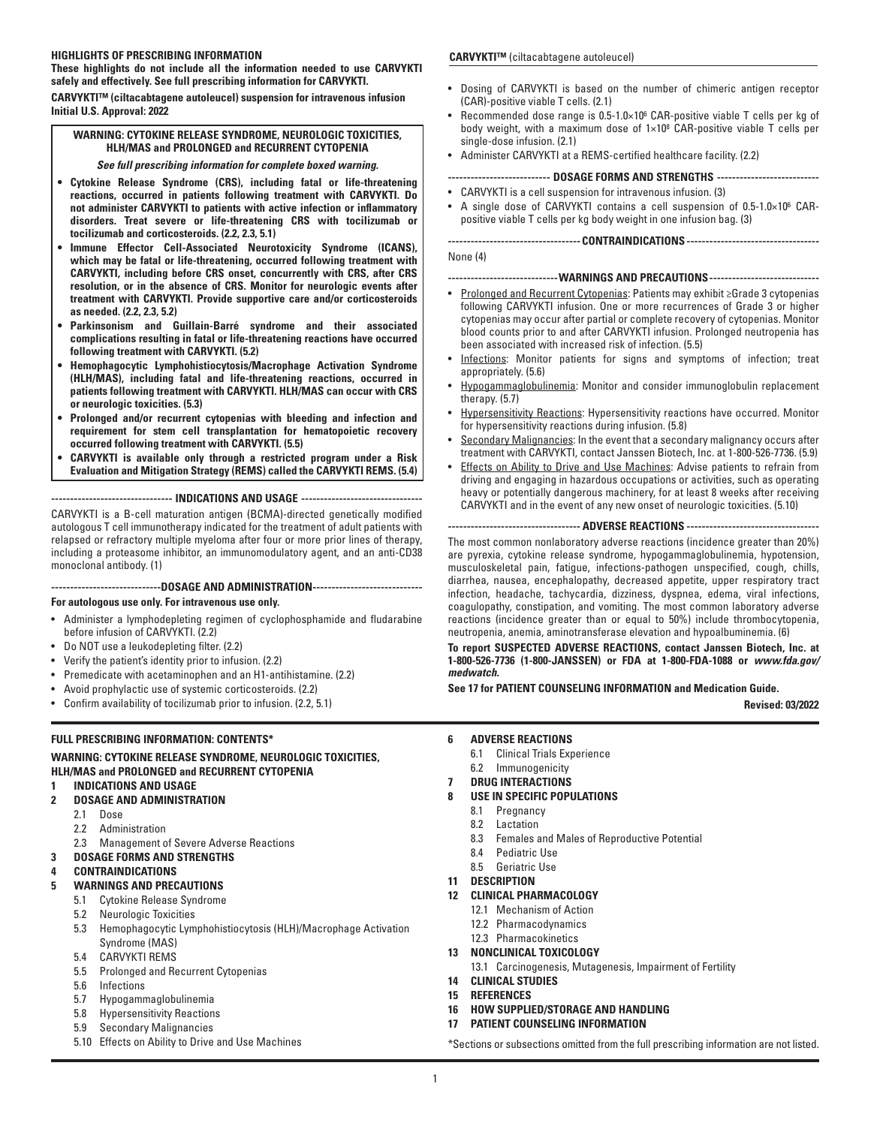## **HIGHLIGHTS OF PRESCRIBING INFORMATION**

**These highlights do not include all the information needed to use CARVYKTI safely and effectively. See full prescribing information for CARVYKTI.**

**CARVYKTI™ (ciltacabtagene autoleucel) suspension for intravenous infusion Initial U.S. Approval: 2022**

# **WARNING: CYTOKINE RELEASE SYNDROME, NEUROLOGIC TOXICITIES, HLH/MAS and PROLONGED and RECURRENT CYTOPENIA**

## *See full prescribing information for complete boxed warning.*

- **Cytokine Release Syndrome (CRS), including fatal or life-threatening reactions, occurred in patients following treatment with CARVYKTI. Do not administer CARVYKTI to patients with active infection or inflammatory disorders. Treat severe or life-threatening CRS with tocilizumab or tocilizumab and corticosteroids. (2.2, 2.3, 5.1)**
- **Immune Effector Cell-Associated Neurotoxicity Syndrome (ICANS), which may be fatal or life-threatening, occurred following treatment with CARVYKTI, including before CRS onset, concurrently with CRS, after CRS resolution, or in the absence of CRS. Monitor for neurologic events after treatment with CARVYKTI. Provide supportive care and/or corticosteroids as needed. (2.2, 2.3, 5.2)**
- **Parkinsonism and Guillain-Barré syndrome and their associated complications resulting in fatal or life-threatening reactions have occurred following treatment with CARVYKTI. (5.2)**
- **Hemophagocytic Lymphohistiocytosis/Macrophage Activation Syndrome (HLH/MAS), including fatal and life-threatening reactions, occurred in patients following treatment with CARVYKTI. HLH/MAS can occur with CRS or neurologic toxicities. (5.3)**
- **Prolonged and/or recurrent cytopenias with bleeding and infection and requirement for stem cell transplantation for hematopoietic recovery occurred following treatment with CARVYKTI. (5.5)**
- **CARVYKTI is available only through a restricted program under a Risk Evaluation and Mitigation Strategy (REMS) called the CARVYKTI REMS. (5.4)**

**-------------------------------- INDICATIONS AND USAGE --------------------------------**

CARVYKTI is a B-cell maturation antigen (BCMA)-directed genetically modified autologous T cell immunotherapy indicated for the treatment of adult patients with relapsed or refractory multiple myeloma after four or more prior lines of therapy, including a proteasome inhibitor, an immunomodulatory agent, and an anti-CD38 monoclonal antibody. (1)

**-----------------------------DOSAGE AND ADMINISTRATION-----------------------------**

## **For autologous use only. For intravenous use only.**

- Administer a lymphodepleting regimen of cyclophosphamide and fludarabine before infusion of CARVYKTI. (2.2)
- Do NOT use a leukodepleting filter. (2.2)
- Verify the patient's identity prior to infusion. (2.2)
- Premedicate with acetaminophen and an H1-antihistamine. (2.2)
- Avoid prophylactic use of systemic corticosteroids. (2.2)
- Confirm availability of tocilizumab prior to infusion. (2.2, 5.1)

## **FULL PRESCRIBING INFORMATION: CONTENTS\***

## **WARNING: CYTOKINE RELEASE SYNDROME, NEUROLOGIC TOXICITIES, HLH/MAS and PROLONGED and RECURRENT CYTOPENIA**

- **1 INDICATIONS AND USAGE**
- **2 DOSAGE AND ADMINISTRATION**
	- 2.1 Dose
	- 2.2 Administration
- 2.3 Management of Severe Adverse Reactions
- **3 DOSAGE FORMS AND STRENGTHS**

## **4 CONTRAINDICATIONS**

- **5 WARNINGS AND PRECAUTIONS**
	- 5.1 Cytokine Release Syndrome
	- 5.2 Neurologic Toxicities
	- 5.3 Hemophagocytic Lymphohistiocytosis (HLH)/Macrophage Activation Syndrome (MAS)
	- 5.4 CARVYKTI REMS
	- 5.5 Prolonged and Recurrent Cytopenias
	- 5.6 Infections
	- 5.7 Hypogammaglobulinemia
	- 5.8 Hypersensitivity Reactions
	- 5.9 Secondary Malignancies
	- 5.10 Effects on Ability to Drive and Use Machines

## **CARVYKTI™** (ciltacabtagene autoleucel)

- Dosing of CARVYKTI is based on the number of chimeric antigen receptor (CAR)-positive viable T cells. (2.1)
- Recommended dose range is 0.5-1.0×106 CAR-positive viable T cells per kg of body weight, with a maximum dose of  $1\times10^8$  CAR-positive viable T cells per single-dose infusion. (2.1)
- Administer CARVYKTI at a REMS-certified healthcare facility. (2.2)

## **--------------------------- DOSAGE FORMS AND STRENGTHS ---------------------------**

- CARVYKTI is a cell suspension for intravenous infusion. (3)
- A single dose of CARVYKTI contains a cell suspension of 0.5-1.0×106 CARpositive viable T cells per kg body weight in one infusion bag. (3)

**-----------------------------------CONTRAINDICATIONS -----------------------------------**

## None (4)

#### **-----------------------------WARNINGS AND PRECAUTIONS-----------------------------**

- Prolonged and Recurrent Cytopenias: Patients may exhibit ≥Grade 3 cytopenias following CARVYKTI infusion. One or more recurrences of Grade 3 or higher cytopenias may occur after partial or complete recovery of cytopenias. Monitor blood counts prior to and after CARVYKTI infusion. Prolonged neutropenia has been associated with increased risk of infection. (5.5)
- Infections: Monitor patients for signs and symptoms of infection; treat appropriately. (5.6)
- Hypogammaglobulinemia: Monitor and consider immunoglobulin replacement therapy. (5.7)
- Hypersensitivity Reactions: Hypersensitivity reactions have occurred. Monitor for hypersensitivity reactions during infusion. (5.8)
- Secondary Malignancies: In the event that a secondary malignancy occurs after treatment with CARVYKTI, contact Janssen Biotech, Inc. at 1-800-526-7736. (5.9)
- **Effects on Ability to Drive and Use Machines: Advise patients to refrain from** driving and engaging in hazardous occupations or activities, such as operating heavy or potentially dangerous machinery, for at least 8 weeks after receiving CARVYKTI and in the event of any new onset of neurologic toxicities. (5.10)

## **----------------------------------- ADVERSE REACTIONS -----------------------------------**

The most common nonlaboratory adverse reactions (incidence greater than 20%) are pyrexia, cytokine release syndrome, hypogammaglobulinemia, hypotension, musculoskeletal pain, fatigue, infections-pathogen unspecified, cough, chills, diarrhea, nausea, encephalopathy, decreased appetite, upper respiratory tract infection, headache, tachycardia, dizziness, dyspnea, edema, viral infections, coagulopathy, constipation, and vomiting. The most common laboratory adverse reactions (incidence greater than or equal to 50%) include thrombocytopenia, neutropenia, anemia, aminotransferase elevation and hypoalbuminemia. (6)

**To report SUSPECTED ADVERSE REACTIONS, contact Janssen Biotech, Inc. at 1-800-526-7736 (1-800-JANSSEN) or FDA at 1-800-FDA-1088 or** *www.fda.gov/ medwatch.*

## **See 17 for PATIENT COUNSELING INFORMATION and Medication Guide.**

**Revised: 03/2022**

- **6 ADVERSE REACTIONS**
	- 6.1 Clinical Trials Experience
- 6.2 Immunogenicity
- **7 DRUG INTERACTIONS**

## **8 USE IN SPECIFIC POPULATIONS**

- 8.1 Pregnancy
- 8.2 Lactation
- 8.3 Females and Males of Reproductive Potential
- 8.4 Pediatric Use
- 8.5 Geriatric Use
- **11 DESCRIPTION**

## **12 CLINICAL PHARMACOLOGY**

- 12.1 Mechanism of Action
- 12.2 Pharmacodynamics
- 12.3 Pharmacokinetics
- **13 NONCLINICAL TOXICOLOGY**
- 13.1 Carcinogenesis, Mutagenesis, Impairment of Fertility
- **14 CLINICAL STUDIES**
- **15 REFERENCES**
- **16 HOW SUPPLIED/STORAGE AND HANDLING**
- **17 PATIENT COUNSELING INFORMATION**

\*Sections or subsections omitted from the full prescribing information are not listed.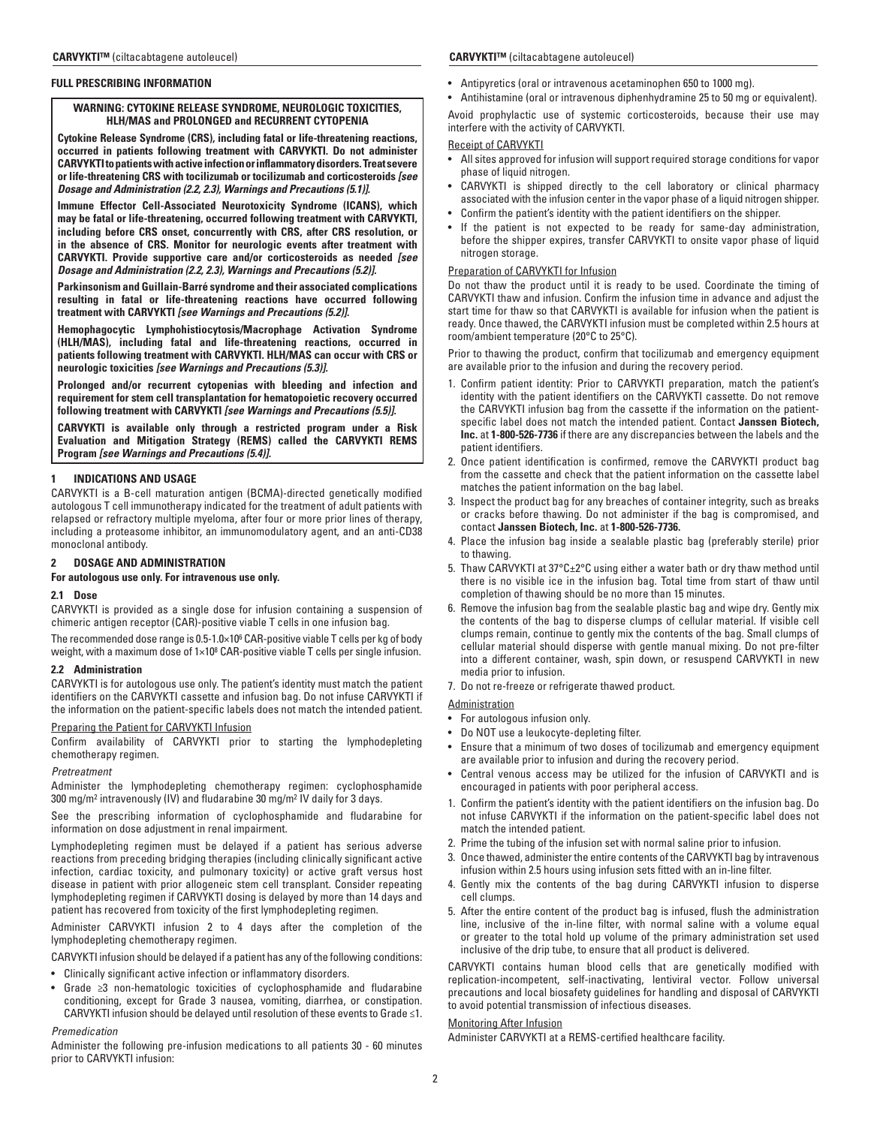## **FULL PRESCRIBING INFORMATION**

## **WARNING: CYTOKINE RELEASE SYNDROME, NEUROLOGIC TOXICITIES, HLH/MAS and PROLONGED and RECURRENT CYTOPENIA**

**Cytokine Release Syndrome (CRS), including fatal or life-threatening reactions, occurred in patients following treatment with CARVYKTI. Do not administer CARVYKTI to patients with active infection or inflammatory disorders. Treat severe or life-threatening CRS with tocilizumab or tocilizumab and corticosteroids** *[see Dosage and Administration (2.2, 2.3), Warnings and Precautions (5.1)].*

**Immune Effector Cell-Associated Neurotoxicity Syndrome (ICANS), which may be fatal or life-threatening, occurred following treatment with CARVYKTI, including before CRS onset, concurrently with CRS, after CRS resolution, or in the absence of CRS. Monitor for neurologic events after treatment with CARVYKTI. Provide supportive care and/or corticosteroids as needed** *[see Dosage and Administration (2.2, 2.3), Warnings and Precautions (5.2)].*

**Parkinsonism and Guillain-Barré syndrome and their associated complications resulting in fatal or life-threatening reactions have occurred following treatment with CARVYKTI** *[see Warnings and Precautions (5.2)].*

**Hemophagocytic Lymphohistiocytosis/Macrophage Activation Syndrome (HLH/MAS), including fatal and life-threatening reactions, occurred in patients following treatment with CARVYKTI. HLH/MAS can occur with CRS or neurologic toxicities** *[see Warnings and Precautions (5.3)].*

**Prolonged and/or recurrent cytopenias with bleeding and infection and requirement for stem cell transplantation for hematopoietic recovery occurred following treatment with CARVYKTI** *[see Warnings and Precautions (5.5)].*

**CARVYKTI is available only through a restricted program under a Risk Evaluation and Mitigation Strategy (REMS) called the CARVYKTI REMS Program** *[see Warnings and Precautions (5.4)].*

## **1 INDICATIONS AND USAGE**

CARVYKTI is a B-cell maturation antigen (BCMA)-directed genetically modified autologous T cell immunotherapy indicated for the treatment of adult patients with relapsed or refractory multiple myeloma, after four or more prior lines of therapy, including a proteasome inhibitor, an immunomodulatory agent, and an anti-CD38 monoclonal antibody.

## **2 DOSAGE AND ADMINISTRATION**

**For autologous use only. For intravenous use only.**

#### **2.1 Dose**

CARVYKTI is provided as a single dose for infusion containing a suspension of chimeric antigen receptor (CAR)-positive viable T cells in one infusion bag.

The recommended dose range is 0.5-1.0×10 $^{\rm 6}$  CAR-positive viable T cells per kg of body weight, with a maximum dose of 1×108 CAR-positive viable T cells per single infusion.

#### **2.2 Administration**

CARVYKTI is for autologous use only. The patient's identity must match the patient identifiers on the CARVYKTI cassette and infusion bag. Do not infuse CARVYKTI if the information on the patient-specific labels does not match the intended patient.

## Preparing the Patient for CARVYKTI Infusion

Confirm availability of CARVYKTI prior to starting the lymphodepleting chemotherapy regimen.

#### *Pretreatment*

Administer the lymphodepleting chemotherapy regimen: cyclophosphamide 300 mg/m2 intravenously (IV) and fludarabine 30 mg/m2 IV daily for 3 days.

See the prescribing information of cyclophosphamide and fludarabine for information on dose adjustment in renal impairment.

Lymphodepleting regimen must be delayed if a patient has serious adverse reactions from preceding bridging therapies (including clinically significant active infection, cardiac toxicity, and pulmonary toxicity) or active graft versus host disease in patient with prior allogeneic stem cell transplant. Consider repeating lymphodepleting regimen if CARVYKTI dosing is delayed by more than 14 days and patient has recovered from toxicity of the first lymphodepleting regimen.

Administer CARVYKTI infusion 2 to 4 days after the completion of the lymphodepleting chemotherapy regimen.

CARVYKTI infusion should be delayed if a patient has any of the following conditions:

- Clinically significant active infection or inflammatory disorders.
- Grade ≥3 non-hematologic toxicities of cyclophosphamide and fludarabine conditioning, except for Grade 3 nausea, vomiting, diarrhea, or constipation. CARVYKTI infusion should be delayed until resolution of these events to Grade ≤1.

## *Premedication*

Administer the following pre-infusion medications to all patients 30 - 60 minutes prior to CARVYKTI infusion:

## **CARVYKTI™** (ciltacabtagene autoleucel) **CARVYKTI™** (ciltacabtagene autoleucel)

- Antipyretics (oral or intravenous acetaminophen 650 to 1000 mg).
- Antihistamine (oral or intravenous diphenhydramine 25 to 50 mg or equivalent).

Avoid prophylactic use of systemic corticosteroids, because their use may interfere with the activity of CARVYKTI.

#### Receipt of CARVYKTI

- All sites approved for infusion will support required storage conditions for vapor phase of liquid nitrogen.
- CARVYKTI is shipped directly to the cell laboratory or clinical pharmacy associated with the infusion center in the vapor phase of a liquid nitrogen shipper.
- Confirm the patient's identity with the patient identifiers on the shipper.
- If the patient is not expected to be ready for same-day administration, before the shipper expires, transfer CARVYKTI to onsite vapor phase of liquid nitrogen storage.

## Preparation of CARVYKTI for Infusion

Do not thaw the product until it is ready to be used. Coordinate the timing of CARVYKTI thaw and infusion. Confirm the infusion time in advance and adjust the start time for thaw so that CARVYKTI is available for infusion when the patient is ready. Once thawed, the CARVYKTI infusion must be completed within 2.5 hours at room/ambient temperature (20°C to 25°C).

Prior to thawing the product, confirm that tocilizumab and emergency equipment are available prior to the infusion and during the recovery period.

- 1. Confirm patient identity: Prior to CARVYKTI preparation, match the patient's identity with the patient identifiers on the CARVYKTI cassette. Do not remove the CARVYKTI infusion bag from the cassette if the information on the patientspecific label does not match the intended patient. Contact **Janssen Biotech, Inc.** at **1-800-526-7736** if there are any discrepancies between the labels and the patient identifiers.
- 2. Once patient identification is confirmed, remove the CARVYKTI product bag from the cassette and check that the patient information on the cassette label matches the patient information on the bag label.
- 3. Inspect the product bag for any breaches of container integrity, such as breaks or cracks before thawing. Do not administer if the bag is compromised, and contact **Janssen Biotech, Inc.** at **1-800-526-7736.**
- 4. Place the infusion bag inside a sealable plastic bag (preferably sterile) prior to thawing.
- 5. Thaw CARVYKTI at 37°C±2°C using either a water bath or dry thaw method until there is no visible ice in the infusion bag. Total time from start of thaw until completion of thawing should be no more than 15 minutes.
- 6. Remove the infusion bag from the sealable plastic bag and wipe dry. Gently mix the contents of the bag to disperse clumps of cellular material. If visible cell clumps remain, continue to gently mix the contents of the bag. Small clumps of cellular material should disperse with gentle manual mixing. Do not pre-filter into a different container, wash, spin down, or resuspend CARVYKTI in new media prior to infusion.
- 7. Do not re-freeze or refrigerate thawed product.

**Administration** 

- For autologous infusion only.
- Do NOT use a leukocyte-depleting filter.
- Ensure that a minimum of two doses of tocilizumab and emergency equipment are available prior to infusion and during the recovery period.
- Central venous access may be utilized for the infusion of CARVYKTI and is encouraged in patients with poor peripheral access.
- 1. Confirm the patient's identity with the patient identifiers on the infusion bag. Do not infuse CARVYKTI if the information on the patient-specific label does not match the intended patient.
- 2. Prime the tubing of the infusion set with normal saline prior to infusion.
- 3. Once thawed, administer the entire contents of the CARVYKTI bag by intravenous infusion within 2.5 hours using infusion sets fitted with an in-line filter.
- 4. Gently mix the contents of the bag during CARVYKTI infusion to disperse cell clumps.
- 5. After the entire content of the product bag is infused, flush the administration line, inclusive of the in-line filter, with normal saline with a volume equal or greater to the total hold up volume of the primary administration set used inclusive of the drip tube, to ensure that all product is delivered.

CARVYKTI contains human blood cells that are genetically modified with replication-incompetent, self-inactivating, lentiviral vector. Follow universal precautions and local biosafety guidelines for handling and disposal of CARVYKTI to avoid potential transmission of infectious diseases.

## Monitoring After Infusion

Administer CARVYKTI at a REMS-certified healthcare facility.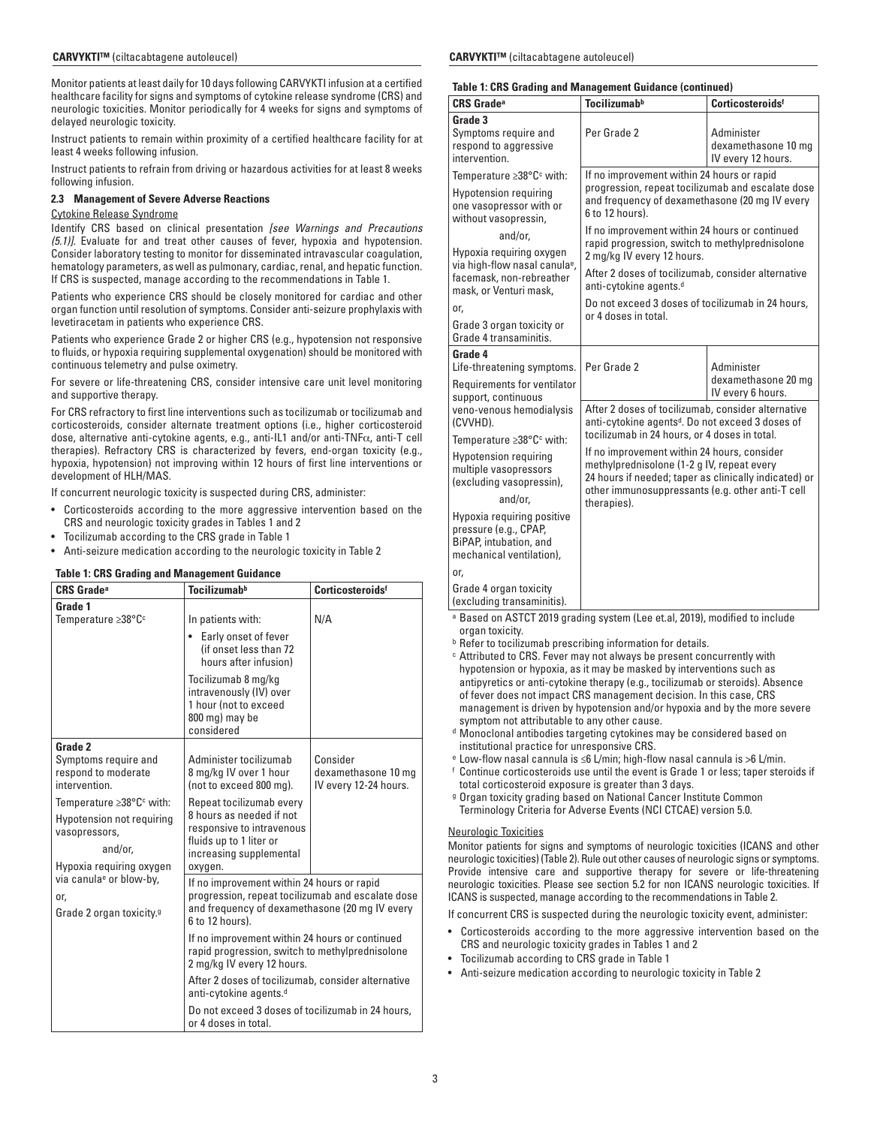Monitor patients at least daily for 10 days following CARVYKTI infusion at a certified healthcare facility for signs and symptoms of cytokine release syndrome (CRS) and neurologic toxicities. Monitor periodically for 4 weeks for signs and symptoms of delayed neurologic toxicity.

Instruct patients to remain within proximity of a certified healthcare facility for at least 4 weeks following infusion.

Instruct patients to refrain from driving or hazardous activities for at least 8 weeks following infusion.

## **2.3 Management of Severe Adverse Reactions**

## Cytokine Release Syndrome

Identify CRS based on clinical presentation *[see Warnings and Precautions (5.1)].* Evaluate for and treat other causes of fever, hypoxia and hypotension. Consider laboratory testing to monitor for disseminated intravascular coagulation, hematology parameters, as well as pulmonary, cardiac, renal, and hepatic function. If CRS is suspected, manage according to the recommendations in Table 1.

Patients who experience CRS should be closely monitored for cardiac and other organ function until resolution of symptoms. Consider anti-seizure prophylaxis with levetiracetam in patients who experience CRS.

Patients who experience Grade 2 or higher CRS (e.g., hypotension not responsive to fluids, or hypoxia requiring supplemental oxygenation) should be monitored with continuous telemetry and pulse oximetry.

For severe or life-threatening CRS, consider intensive care unit level monitoring and supportive therapy.

For CRS refractory to first line interventions such as tocilizumab or tocilizumab and corticosteroids, consider alternate treatment options (i.e., higher corticosteroid dose, alternative anti-cytokine agents, e.g., anti-IL1 and/or anti-TNFα, anti-T cell therapies). Refractory CRS is characterized by fevers, end-organ toxicity (e.g., hypoxia, hypotension) not improving within 12 hours of first line interventions or development of HLH/MAS.

If concurrent neurologic toxicity is suspected during CRS, administer:

- Corticosteroids according to the more aggressive intervention based on the CRS and neurologic toxicity grades in Tables 1 and 2
- Tocilizumab according to the CRS grade in Table 1
- Anti-seizure medication according to the neurologic toxicity in Table 2

## **Table 1: CRS Grading and Management Guidance**

| <b>CRS Grade<sup>a</sup></b>                                                                                                            | <b>Tocilizumab</b> <sup>b</sup>                                                                                                                                      | Corticosteroidsf                                         |
|-----------------------------------------------------------------------------------------------------------------------------------------|----------------------------------------------------------------------------------------------------------------------------------------------------------------------|----------------------------------------------------------|
| Grade 1<br>Temperature ≥38°C <sup>c</sup>                                                                                               | In patients with:                                                                                                                                                    | N/A                                                      |
|                                                                                                                                         | Early onset of fever<br>(if onset less than 72)<br>hours after infusion)                                                                                             |                                                          |
|                                                                                                                                         | Tocilizumab 8 mg/kg<br>intravenously (IV) over<br>1 hour (not to exceed<br>800 mg) may be<br>considered                                                              |                                                          |
| Grade 2<br>Symptoms require and<br>respond to moderate<br>intervention.                                                                 | Administer tocilizumab<br>8 mg/kg IV over 1 hour<br>(not to exceed 800 mg).                                                                                          | Consider<br>dexamethasone 10 mg<br>IV every 12-24 hours. |
| Temperature $\geq 38^{\circ}$ C <sup>c</sup> with:<br>Hypotension not requiring<br>vasopressors,<br>and/or.<br>Hypoxia requiring oxygen | Repeat tocilizumab every<br>8 hours as needed if not<br>responsive to intravenous<br>fluids up to 1 liter or<br>increasing supplemental<br>oxygen.                   |                                                          |
| via canula <sup>e</sup> or blow-by,<br>or,<br>Grade 2 organ toxicity. <sup>9</sup>                                                      | If no improvement within 24 hours or rapid<br>progression, repeat tocilizumab and escalate dose<br>and frequency of dexamethasone (20 mg IV every<br>6 to 12 hours). |                                                          |
|                                                                                                                                         | If no improvement within 24 hours or continued<br>rapid progression, switch to methylprednisolone<br>2 mg/kg IV every 12 hours.                                      |                                                          |
|                                                                                                                                         | After 2 doses of tocilizumab, consider alternative<br>anti-cytokine agents. <sup>d</sup>                                                                             |                                                          |
| Do not exceed 3 doses of tocilizumab in 24 hours,<br>or 4 doses in total.                                                               |                                                                                                                                                                      |                                                          |

## **Table 1: CRS Grading and Management Guidance (continued)**

| rapic 1. Und drauniy anu manaycinchi dunuance (commucu)                                                                                                                                                                                                                                                             |                                                                                                                                                                                                                                                                                                                                                                                                                                                                                  |                                                         |
|---------------------------------------------------------------------------------------------------------------------------------------------------------------------------------------------------------------------------------------------------------------------------------------------------------------------|----------------------------------------------------------------------------------------------------------------------------------------------------------------------------------------------------------------------------------------------------------------------------------------------------------------------------------------------------------------------------------------------------------------------------------------------------------------------------------|---------------------------------------------------------|
| <b>CRS Grade<sup>a</sup></b>                                                                                                                                                                                                                                                                                        | <b>Tocilizumab</b> <sup>b</sup>                                                                                                                                                                                                                                                                                                                                                                                                                                                  | Corticosteroidsf                                        |
| Grade 3<br>Symptoms require and<br>respond to aggressive<br>intervention.                                                                                                                                                                                                                                           | Per Grade 2                                                                                                                                                                                                                                                                                                                                                                                                                                                                      | Administer<br>dexamethasone 10 mg<br>IV every 12 hours. |
| Temperature $\geq 38^{\circ}$ C <sup>c</sup> with:<br><b>Hypotension requiring</b><br>one vasopressor with or<br>without vasopressin,<br>and/or,<br>Hypoxia requiring oxygen<br>via high-flow nasal canula <sup>e</sup> ,<br>facemask, non-rebreather<br>mask, or Venturi mask,<br>or,<br>Grade 3 organ toxicity or | If no improvement within 24 hours or rapid<br>progression, repeat tocilizumab and escalate dose<br>and frequency of dexamethasone (20 mg IV every<br>6 to 12 hours).<br>If no improvement within 24 hours or continued<br>rapid progression, switch to methylprednisolone<br>2 mg/kg IV every 12 hours.<br>After 2 doses of tocilizumab, consider alternative<br>anti-cytokine agents. <sup>d</sup><br>Do not exceed 3 doses of tocilizumab in 24 hours,<br>or 4 doses in total. |                                                         |
| Grade 4 transaminitis.<br>Grade 4<br>Life-threatening symptoms.<br>Requirements for ventilator                                                                                                                                                                                                                      | Per Grade 2                                                                                                                                                                                                                                                                                                                                                                                                                                                                      | Administer<br>dexamethasone 20 mg<br>IV every 6 hours.  |
| support, continuous<br>veno-venous hemodialysis<br>(CVVHD).<br>Temperature ≥38°C <sup>c</sup> with:<br><b>Hypotension requiring</b><br>multiple vasopressors<br>(excluding vasopressin),<br>and/or,<br>Hypoxia requiring positive                                                                                   | After 2 doses of tocilizumab, consider alternative<br>anti-cytokine agents <sup>d</sup> . Do not exceed 3 doses of<br>tocilizumab in 24 hours, or 4 doses in total.<br>If no improvement within 24 hours, consider<br>methylprednisolone (1-2 g IV, repeat every<br>24 hours if needed; taper as clinically indicated) or<br>other immunosuppressants (e.g. other anti-T cell<br>therapies).                                                                                     |                                                         |
| pressure (e.g., CPAP,<br>BiPAP, intubation, and<br>mechanical ventilation),<br>or,<br>Grade 4 organ toxicity<br>(excluding transaminitis).                                                                                                                                                                          |                                                                                                                                                                                                                                                                                                                                                                                                                                                                                  |                                                         |

- a Based on ASTCT 2019 grading system (Lee et.al, 2019), modified to include organ toxicity.
- **b** Refer to tocilizumab prescribing information for details.
- c Attributed to CRS. Fever may not always be present concurrently with hypotension or hypoxia, as it may be masked by interventions such as antipyretics or anti-cytokine therapy (e.g., tocilizumab or steroids). Absence of fever does not impact CRS management decision. In this case, CRS management is driven by hypotension and/or hypoxia and by the more severe symptom not attributable to any other cause.
- d Monoclonal antibodies targeting cytokines may be considered based on institutional practice for unresponsive CRS.
- e Low-flow nasal cannula is ≤6 L/min; high-flow nasal cannula is >6 L/min.
- f Continue corticosteroids use until the event is Grade 1 or less; taper steroids if total corticosteroid exposure is greater than 3 days.
- g Organ toxicity grading based on National Cancer Institute Common Terminology Criteria for Adverse Events (NCI CTCAE) version 5.0.

## Neurologic Toxicities

Monitor patients for signs and symptoms of neurologic toxicities (ICANS and other neurologic toxicities) (Table 2). Rule out other causes of neurologic signs or symptoms. Provide intensive care and supportive therapy for severe or life-threatening neurologic toxicities. Please see section 5.2 for non ICANS neurologic toxicities. If ICANS is suspected, manage according to the recommendations in Table 2.

If concurrent CRS is suspected during the neurologic toxicity event, administer:

- Corticosteroids according to the more aggressive intervention based on the CRS and neurologic toxicity grades in Tables 1 and 2
- Tocilizumab according to CRS grade in Table 1
- Anti-seizure medication according to neurologic toxicity in Table 2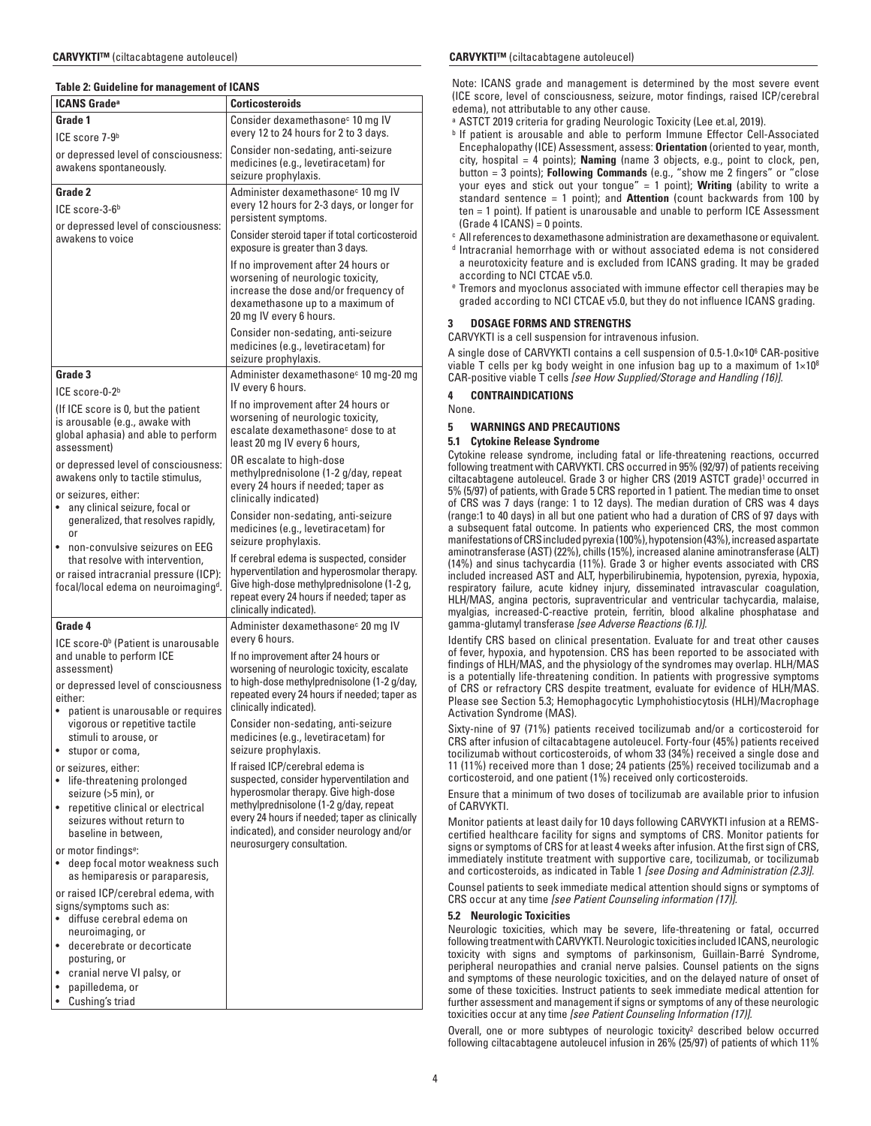## **Table 2: Guideline for management of ICANS**

| <b>ICANS Grade<sup>a</sup></b>                                                                                                | <b>Corticosteroids</b>                                                                                                                                                                                     |
|-------------------------------------------------------------------------------------------------------------------------------|------------------------------------------------------------------------------------------------------------------------------------------------------------------------------------------------------------|
| Grade 1                                                                                                                       | Consider dexamethasone <sup>c</sup> 10 mg IV                                                                                                                                                               |
| ICE score 7-9 <sup>b</sup>                                                                                                    | every 12 to 24 hours for 2 to 3 days.                                                                                                                                                                      |
| or depressed level of consciousness:<br>awakens spontaneously.                                                                | Consider non-sedating, anti-seizure<br>medicines (e.g., levetiracetam) for<br>seizure prophylaxis.                                                                                                         |
| Grade 2                                                                                                                       | Administer dexamethasone <sup>c</sup> 10 mg IV                                                                                                                                                             |
| ICE score-3-6 <sup>b</sup>                                                                                                    | every 12 hours for 2-3 days, or longer for<br>persistent symptoms.                                                                                                                                         |
| or depressed level of consciousness:<br>awakens to voice                                                                      | Consider steroid taper if total corticosteroid<br>exposure is greater than 3 days.                                                                                                                         |
|                                                                                                                               | If no improvement after 24 hours or<br>worsening of neurologic toxicity,<br>increase the dose and/or frequency of<br>dexamethasone up to a maximum of<br>20 mg IV every 6 hours.                           |
|                                                                                                                               | Consider non-sedating, anti-seizure<br>medicines (e.g., levetiracetam) for<br>seizure prophylaxis.                                                                                                         |
| Grade 3<br>ICE score-0-2 <sup>b</sup>                                                                                         | Administer dexamethasone <sup>c</sup> 10 mg-20 mg<br>IV every 6 hours.                                                                                                                                     |
| (If ICE score is 0, but the patient<br>is arousable (e.g., awake with<br>global aphasia) and able to perform<br>assessment)   | If no improvement after 24 hours or<br>worsening of neurologic toxicity,<br>escalate dexamethasone <sup>c</sup> dose to at<br>least 20 mg IV every 6 hours,                                                |
| or depressed level of consciousness:<br>awakens only to tactile stimulus,<br>or seizures, either:                             | OR escalate to high-dose<br>methylprednisolone (1-2 g/day, repeat<br>every 24 hours if needed; taper as<br>clinically indicated)                                                                           |
| any clinical seizure, focal or<br>generalized, that resolves rapidly,<br><sub>0r</sub><br>non-convulsive seizures on EEG      | Consider non-sedating, anti-seizure<br>medicines (e.g., levetiracetam) for<br>seizure prophylaxis.                                                                                                         |
| that resolve with intervention,<br>or raised intracranial pressure (ICP):<br>focal/local edema on neuroimaging <sup>d</sup> . | If cerebral edema is suspected, consider<br>hyperventilation and hyperosmolar therapy.<br>Give high-dose methylprednisolone (1-2 g,<br>repeat every 24 hours if needed; taper as<br>clinically indicated). |
| Grade 4                                                                                                                       | Administer dexamethasone <sup>c</sup> 20 mg IV                                                                                                                                                             |
| ICE score-0 <sup>b</sup> (Patient is unarousable<br>and unable to perform ICE<br>assessment)                                  | every 6 hours.<br>If no improvement after 24 hours or<br>worsening of neurologic toxicity, escalate                                                                                                        |
| or depressed level of consciousness<br>either:                                                                                | to high-dose methylprednisolone (1-2 g/day,<br>repeated every 24 hours if needed; taper as<br>clinically indicated).                                                                                       |
| patient is unarousable or requires<br>$\bullet$<br>vigorous or repetitive tactile<br>stimuli to arouse, or<br>stupor or coma, | Consider non-sedating, anti-seizure<br>medicines (e.g., levetiracetam) for<br>seizure prophylaxis.                                                                                                         |
| or seizures, either:<br>life-threatening prolonged<br>seizure (>5 min), or                                                    | If raised ICP/cerebral edema is<br>suspected, consider hyperventilation and<br>hyperosmolar therapy. Give high-dose                                                                                        |
| • repetitive clinical or electrical<br>seizures without return to<br>baseline in between,                                     | methylprednisolone (1-2 g/day, repeat<br>every 24 hours if needed; taper as clinically<br>indicated), and consider neurology and/or<br>neurosurgery consultation.                                          |
| or motor findings <sup>e</sup> :<br>deep focal motor weakness such<br>as hemiparesis or paraparesis,                          |                                                                                                                                                                                                            |
| or raised ICP/cerebral edema, with<br>signs/symptoms such as:<br>diffuse cerebral edema on<br>neuroimaging, or                |                                                                                                                                                                                                            |
| decerebrate or decorticate<br>٠<br>posturing, or<br>cranial nerve VI palsy, or<br>$\bullet$                                   |                                                                                                                                                                                                            |
| papilledema, or<br>Cushing's triad<br>$\bullet$                                                                               |                                                                                                                                                                                                            |

## **CARVYKTI™** (ciltacabtagene autoleucel) **CARVYKTI™** (ciltacabtagene autoleucel)

Note: ICANS grade and management is determined by the most severe event (ICE score, level of consciousness, seizure, motor findings, raised ICP/cerebral edema), not attributable to any other cause.

- <sup>a</sup> ASTCT 2019 criteria for grading Neurologic Toxicity (Lee et.al, 2019).
- **b If patient is arousable and able to perform Immune Effector Cell-Associated** Encephalopathy (ICE) Assessment, assess: **Orientation** (oriented to year, month, city, hospital = 4 points); **Naming** (name 3 objects, e.g., point to clock, pen, button = 3 points); **Following Commands** (e.g., "show me 2 fingers" or "close your eyes and stick out your tongue" = 1 point); **Writing** (ability to write a standard sentence = 1 point); and **Attention** (count backwards from 100 by ten = 1 point). If patient is unarousable and unable to perform ICE Assessment  $(Grade 4 ICANS) = 0 points.$
- c All references to dexamethasone administration are dexamethasone or equivalent. d Intracranial hemorrhage with or without associated edema is not considered
- a neurotoxicity feature and is excluded from ICANS grading. It may be graded according to NCI CTCAE v5.0.
- e Tremors and myoclonus associated with immune effector cell therapies may be graded according to NCI CTCAE v5.0, but they do not influence ICANS grading.

## **3 DOSAGE FORMS AND STRENGTHS**

CARVYKTI is a cell suspension for intravenous infusion.

A single dose of CARVYKTI contains a cell suspension of 0.5-1.0×106 CAR-positive viable T cells per kg body weight in one infusion bag up to a maximum of  $1\times10^8$ CAR-positive viable T cells *[see How Supplied/Storage and Handling (16)].*

**4 CONTRAINDICATIONS**

None.

## **5 WARNINGS AND PRECAUTIONS**

## **5.1 Cytokine Release Syndrome**

Cytokine release syndrome, including fatal or life-threatening reactions, occurred following treatment with CARVYKTI. CRS occurred in 95% (92/97) of patients receiving ciltacabtagene autoleucel. Grade 3 or higher CRS (2019 ASTCT grade)1 occurred in 5% (5/97) of patients, with Grade 5 CRS reported in 1 patient. The median time to onset of CRS was 7 days (range: 1 to 12 days). The median duration of CRS was 4 days (range:1 to 40 days) in all but one patient who had a duration of CRS of 97 days with a subsequent fatal outcome. In patients who experienced CRS, the most common manifestations of CRS included pyrexia (100%), hypotension (43%), increased aspartate aminotransferase (AST) (22%), chills (15%), increased alanine aminotransferase (ALT) (14%) and sinus tachycardia (11%). Grade 3 or higher events associated with CRS included increased AST and ALT, hyperbilirubinemia, hypotension, pyrexia, hypoxia, respiratory failure, acute kidney injury, disseminated intravascular coagulation, HLH/MAS, angina pectoris, supraventricular and ventricular tachycardia, malaise, myalgias, increased-C-reactive protein, ferritin, blood alkaline phosphatase and gamma-glutamyl transferase *[see Adverse Reactions (6.1)].*

Identify CRS based on clinical presentation. Evaluate for and treat other causes of fever, hypoxia, and hypotension. CRS has been reported to be associated with findings of HLH/MAS, and the physiology of the syndromes may overlap. HLH/MAS is a potentially life-threatening condition. In patients with progressive symptoms of CRS or refractory CRS despite treatment, evaluate for evidence of HLH/MAS. Please see Section 5.3; Hemophagocytic Lymphohistiocytosis (HLH)/Macrophage Activation Syndrome (MAS).

Sixty-nine of 97 (71%) patients received tocilizumab and/or a corticosteroid for CRS after infusion of ciltacabtagene autoleucel. Forty-four (45%) patients received tocilizumab without corticosteroids, of whom 33 (34%) received a single dose and 11 (11%) received more than 1 dose; 24 patients (25%) received tocilizumab and a corticosteroid, and one patient (1%) received only corticosteroids.

Ensure that a minimum of two doses of tocilizumab are available prior to infusion of CARVYKTI.

Monitor patients at least daily for 10 days following CARVYKTI infusion at a REMScertified healthcare facility for signs and symptoms of CRS. Monitor patients for signs or symptoms of CRS for at least 4 weeks after infusion. At the first sign of CRS, immediately institute treatment with supportive care, tocilizumab, or tocilizumab and corticosteroids, as indicated in Table 1 *[see Dosing and Administration (2.3)].*

Counsel patients to seek immediate medical attention should signs or symptoms of CRS occur at any time *[see Patient Counseling information (17)].*

## **5.2 Neurologic Toxicities**

Neurologic toxicities, which may be severe, life-threatening or fatal, occurred following treatment with CARVYKTI. Neurologic toxicities included ICANS, neurologic toxicity with signs and symptoms of parkinsonism, Guillain-Barré Syndrome, peripheral neuropathies and cranial nerve palsies. Counsel patients on the signs and symptoms of these neurologic toxicities, and on the delayed nature of onset of some of these toxicities. Instruct patients to seek immediate medical attention for further assessment and management if signs or symptoms of any of these neurologic toxicities occur at any time *[see Patient Counseling Information (17)].*

Overall, one or more subtypes of neurologic toxicity<sup>2</sup> described below occurred following ciltacabtagene autoleucel infusion in 26% (25/97) of patients of which 11%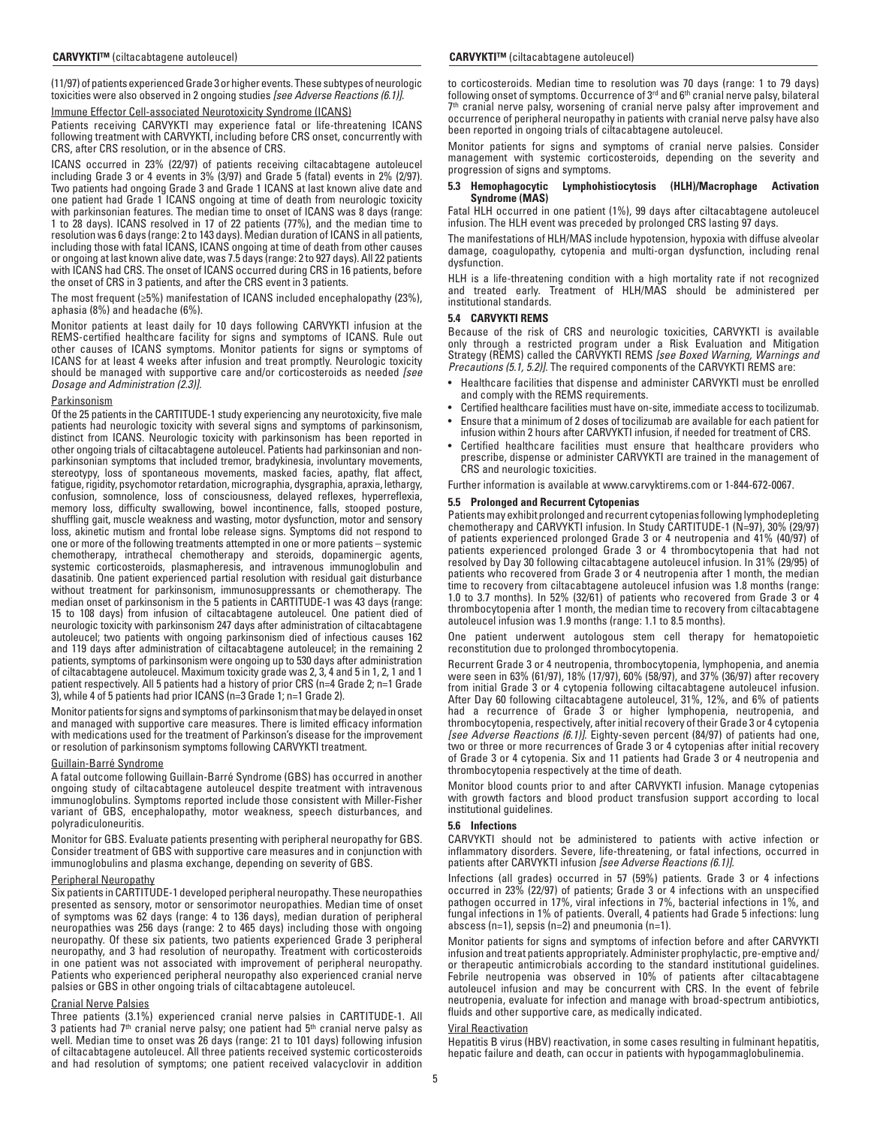(11/97) of patients experienced Grade 3 or higher events. These subtypes of neurologic toxicities were also observed in 2 ongoing studies *[see Adverse Reactions (6.1)].*

#### Immune Effector Cell-associated Neurotoxicity Syndrome (ICANS)

Patients receiving CARVYKTI may experience fatal or life-threatening ICANS following treatment with CARVYKTI, including before CRS onset, concurrently with CRS, after CRS resolution, or in the absence of CRS.

ICANS occurred in 23% (22/97) of patients receiving ciltacabtagene autoleucel including Grade 3 or 4 events in 3% (3/97) and Grade 5 (fatal) events in 2% (2/97). Two patients had ongoing Grade 3 and Grade 1 ICANS at last known alive date and one patient had Grade 1 ICANS ongoing at time of death from neurologic toxicity with parkinsonian features. The median time to onset of ICANS was 8 days (range: 1 to 28 days). ICANS resolved in 17 of 22 patients (77%), and the median time to resolution was 6 days (range: 2 to 143 days). Median duration of ICANS in all patients, including those with fatal ICANS, ICANS ongoing at time of death from other causes or ongoing at last known alive date, was 7.5 days (range: 2 to 927 days). All 22 patients with ICANS had CRS. The onset of ICANS occurred during CRS in 16 patients, before the onset of CRS in 3 patients, and after the CRS event in 3 patients.

The most frequent (≥5%) manifestation of ICANS included encephalopathy (23%), aphasia (8%) and headache (6%).

Monitor patients at least daily for 10 days following CARVYKTI infusion at the REMS-certified healthcare facility for signs and symptoms of ICANS. Rule out other causes of ICANS symptoms. Monitor patients for signs or symptoms of ICANS for at least 4 weeks after infusion and treat promptly. Neurologic toxicity should be managed with supportive care and/or corticosteroids as needed *[see Dosage and Administration (2.3)].*

#### **Parkinsonism**

Of the 25 patients in the CARTITUDE-1 study experiencing any neurotoxicity, five male patients had neurologic toxicity with several signs and symptoms of parkinsonism, distinct from ICANS. Neurologic toxicity with parkinsonism has been reported in other ongoing trials of ciltacabtagene autoleucel. Patients had parkinsonian and nonparkinsonian symptoms that included tremor, bradykinesia, involuntary movements, stereotypy, loss of spontaneous movements, masked facies, apathy, flat affect, fatigue, rigidity, psychomotor retardation, micrographia, dysgraphia, apraxia, lethargy, confusion, somnolence, loss of consciousness, delayed reflexes, hyperreflexia, memory loss, difficulty swallowing, bowel incontinence, falls, stooped posture, shuffling gait, muscle weakness and wasting, motor dysfunction, motor and sensory loss, akinetic mutism and frontal lobe release signs. Symptoms did not respond to one or more of the following treatments attempted in one or more patients – systemic chemotherapy, intrathecal chemotherapy and steroids, dopaminergic agents, systemic corticosteroids, plasmapheresis, and intravenous immunoglobulin and dasatinib. One patient experienced partial resolution with residual gait disturbance without treatment for parkinsonism, immunosuppressants or chemotherapy. The median onset of parkinsonism in the 5 patients in CARTITUDE-1 was 43 days (range: 15 to 108 days) from infusion of ciltacabtagene autoleucel. One patient died of neurologic toxicity with parkinsonism 247 days after administration of ciltacabtagene autoleucel; two patients with ongoing parkinsonism died of infectious causes 162 and 119 days after administration of ciltacabtagene autoleucel; in the remaining 2 patients, symptoms of parkinsonism were ongoing up to 530 days after administration of ciltacabtagene autoleucel. Maximum toxicity grade was 2, 3, 4 and 5 in 1, 2, 1 and 1 patient respectively. All 5 patients had a history of prior CRS (n=4 Grade 2; n=1 Grade 3), while 4 of 5 patients had prior ICANS (n=3 Grade 1; n=1 Grade 2).

Monitor patients for signs and symptoms of parkinsonism that may be delayed in onset and managed with supportive care measures. There is limited efficacy information with medications used for the treatment of Parkinson's disease for the improvement or resolution of parkinsonism symptoms following CARVYKTI treatment.

#### Guillain-Barré Syndrome

A fatal outcome following Guillain-Barré Syndrome (GBS) has occurred in another ongoing study of ciltacabtagene autoleucel despite treatment with intravenous immunoglobulins. Symptoms reported include those consistent with Miller-Fisher variant of GBS, encephalopathy, motor weakness, speech disturbances, and polyradiculoneuritis.

Monitor for GBS. Evaluate patients presenting with peripheral neuropathy for GBS. Consider treatment of GBS with supportive care measures and in conjunction with immunoglobulins and plasma exchange, depending on severity of GBS.

#### Peripheral Neuropathy

Six patients in CARTITUDE-1 developed peripheral neuropathy. These neuropathies presented as sensory, motor or sensorimotor neuropathies. Median time of onset of symptoms was 62 days (range: 4 to 136 days), median duration of peripheral neuropathies was 256 days (range: 2 to 465 days) including those with ongoing neuropathy. Of these six patients, two patients experienced Grade 3 peripheral neuropathy, and 3 had resolution of neuropathy. Treatment with corticosteroids in one patient was not associated with improvement of peripheral neuropathy. Patients who experienced peripheral neuropathy also experienced cranial nerve palsies or GBS in other ongoing trials of ciltacabtagene autoleucel.

## Cranial Nerve Palsies

Three patients (3.1%) experienced cranial nerve palsies in CARTITUDE-1. All 3 patients had  $7<sup>th</sup>$  cranial nerve palsy; one patient had  $5<sup>th</sup>$  cranial nerve palsy as well. Median time to onset was 26 days (range: 21 to 101 days) following infusion of ciltacabtagene autoleucel. All three patients received systemic corticosteroids and had resolution of symptoms; one patient received valacyclovir in addition

#### **CARVYKTI™** (ciltacabtagene autoleucel) **CARVYKTI™** (ciltacabtagene autoleucel)

to corticosteroids. Median time to resolution was 70 days (range: 1 to 79 days) following onset of symptoms. Occurrence of 3 $^{\rm rd}$  and 6 $^{\rm th}$  cranial nerve palsy, bilateral 7th cranial nerve palsy, worsening of cranial nerve palsy after improvement and occurrence of peripheral neuropathy in patients with cranial nerve palsy have also been reported in ongoing trials of ciltacabtagene autoleucel.

Monitor patients for signs and symptoms of cranial nerve palsies. Consider management with systemic corticosteroids, depending on the severity and progression of signs and symptoms.

#### **5.3 Hemophagocytic Lymphohistiocytosis (HLH)/Macrophage Activation Syndrome (MAS)**

Fatal HLH occurred in one patient (1%), 99 days after ciltacabtagene autoleucel infusion. The HLH event was preceded by prolonged CRS lasting 97 days.

The manifestations of HLH/MAS include hypotension, hypoxia with diffuse alveolar damage, coagulopathy, cytopenia and multi-organ dysfunction, including renal dysfunction.

HLH is a life-threatening condition with a high mortality rate if not recognized and treated early. Treatment of HLH/MAS should be administered per institutional standards.

#### **5.4 CARVYKTI REMS**

Because of the risk of CRS and neurologic toxicities, CARVYKTI is available only through a restricted program under a Risk Evaluation and Mitigation Strategy (REMS) called the CARVYKTI REMS *[see Boxed Warning, Warnings and Precautions (5.1, 5.2)].* The required components of the CARVYKTI REMS are:

- Healthcare facilities that dispense and administer CARVYKTI must be enrolled and comply with the REMS requirements.
- Certified healthcare facilities must have on-site, immediate access to tocilizumab.
- Ensure that a minimum of 2 doses of tocilizumab are available for each patient for infusion within 2 hours after CARVYKTI infusion, if needed for treatment of CRS.
- Certified healthcare facilities must ensure that healthcare providers who prescribe, dispense or administer CARVYKTI are trained in the management of CRS and neurologic toxicities.

Further information is available at www.carvyktirems.com or 1-844-672-0067.

## **5.5 Prolonged and Recurrent Cytopenias**

Patients may exhibit prolonged and recurrent cytopenias following lymphodepleting chemotherapy and CARVYKTI infusion. In Study CARTITUDE-1 (N=97), 30% (29/97) of patients experienced prolonged Grade 3 or 4 neutropenia and 41% (40/97) of patients experienced prolonged Grade 3 or 4 thrombocytopenia that had not resolved by Day 30 following ciltacabtagene autoleucel infusion. In 31% (29/95) of patients who recovered from Grade 3 or 4 neutropenia after 1 month, the median time to recovery from ciltacabtagene autoleucel infusion was 1.8 months (range: 1.0 to 3.7 months). In 52% (32/61) of patients who recovered from Grade 3 or 4 thrombocytopenia after 1 month, the median time to recovery from ciltacabtagene autoleucel infusion was 1.9 months (range: 1.1 to 8.5 months).

One patient underwent autologous stem cell therapy for hematopoietic reconstitution due to prolonged thrombocytopenia.

Recurrent Grade 3 or 4 neutropenia, thrombocytopenia, lymphopenia, and anemia were seen in 63% (61/97), 18% (17/97), 60% (58/97), and 37% (36/97) after recovery from initial Grade 3 or 4 cytopenia following ciltacabtagene autoleucel infusion. After Day 60 following ciltacabtagene autoleucel, 31%, 12%, and 6% of patients had a recurrence of Grade 3 or higher lymphopenia, neutropenia, and thrombocytopenia, respectively, after initial recovery of their Grade 3 or 4 cytopenia *[see Adverse Reactions (6.1)].* Eighty-seven percent (84/97) of patients had one, two or three or more recurrences of Grade 3 or 4 cytopenias after initial recovery of Grade 3 or 4 cytopenia. Six and 11 patients had Grade 3 or 4 neutropenia and thrombocytopenia respectively at the time of death.

Monitor blood counts prior to and after CARVYKTI infusion. Manage cytopenias with growth factors and blood product transfusion support according to local institutional guidelines.

## **5.6 Infections**

CARVYKTI should not be administered to patients with active infection or inflammatory disorders. Severe, life-threatening, or fatal infections, occurred in patients after CARVYKTI infusion *[see Adverse Reactions (6.1)].*

Infections (all grades) occurred in 57 (59%) patients. Grade 3 or 4 infections occurred in 23% (22/97) of patients; Grade 3 or 4 infections with an unspecified pathogen occurred in 17%, viral infections in 7%, bacterial infections in 1%, and fungal infections in 1% of patients. Overall, 4 patients had Grade 5 infections: lung abscess (n=1), sepsis (n=2) and pneumonia (n=1).

Monitor patients for signs and symptoms of infection before and after CARVYKTI infusion and treat patients appropriately. Administer prophylactic, pre-emptive and/ or therapeutic antimicrobials according to the standard institutional guidelines. Febrile neutropenia was observed in 10% of patients after ciltacabtagene autoleucel infusion and may be concurrent with CRS. In the event of febrile neutropenia, evaluate for infection and manage with broad-spectrum antibiotics, fluids and other supportive care, as medically indicated.

#### Viral Reactivation

Hepatitis B virus (HBV) reactivation, in some cases resulting in fulminant hepatitis, hepatic failure and death, can occur in patients with hypogammaglobulinemia.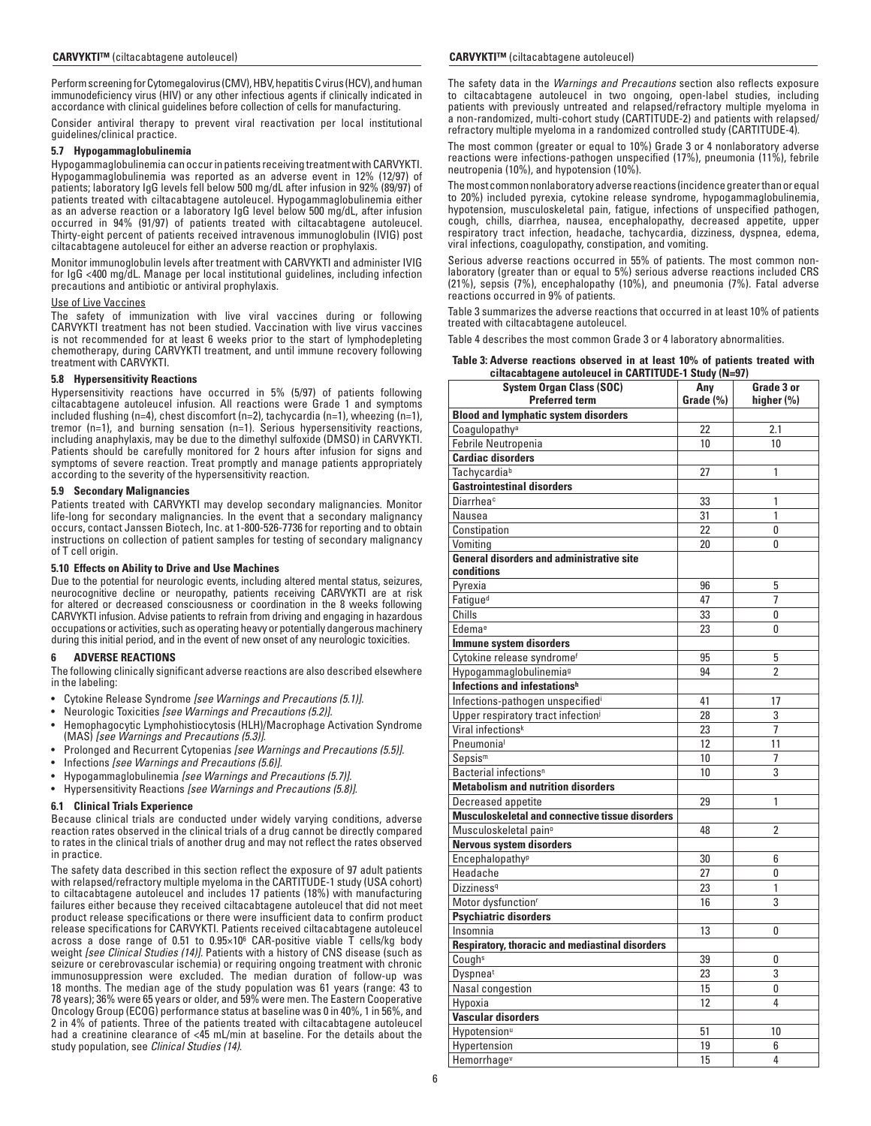Perform screening for Cytomegalovirus (CMV), HBV, hepatitis C virus (HCV), and human immunodeficiency virus (HIV) or any other infectious agents if clinically indicated in accordance with clinical guidelines before collection of cells for manufacturing.

Consider antiviral therapy to prevent viral reactivation per local institutional guidelines/clinical practice.

## **5.7 Hypogammaglobulinemia**

Hypogammaglobulinemia can occur in patients receiving treatment with CARVYKTI. Hypogammaglobulinemia was reported as an adverse event in 12% (12/97) of patients; laboratory IgG levels fell below 500 mg/dL after infusion in 92% (89/97) of patients treated with ciltacabtagene autoleucel. Hypogammaglobulinemia either as an adverse reaction or a laboratory IgG level below 500 mg/dL, after infusion occurred in 94% (91/97) of patients treated with ciltacabtagene autoleucel. Thirty-eight percent of patients received intravenous immunoglobulin (IVIG) post ciltacabtagene autoleucel for either an adverse reaction or prophylaxis.

Monitor immunoglobulin levels after treatment with CARVYKTI and administer IVIG for IgG <400 mg/dL. Manage per local institutional guidelines, including infection precautions and antibiotic or antiviral prophylaxis.

## Use of Live Vaccines

The safety of immunization with live viral vaccines during or following CARVYKTI treatment has not been studied. Vaccination with live virus vaccines is not recommended for at least 6 weeks prior to the start of lymphodepleting chemotherapy, during CARVYKTI treatment, and until immune recovery following treatment with CARVYKTI.

## **5.8 Hypersensitivity Reactions**

Hypersensitivity reactions have occurred in 5% (5/97) of patients following ciltacabtagene autoleucel infusion. All reactions were Grade 1 and symptoms included flushing (n=4), chest discomfort (n=2), tachycardia (n=1), wheezing (n=1), tremor (n=1), and burning sensation (n=1). Serious hypersensitivity reactions, including anaphylaxis, may be due to the dimethyl sulfoxide (DMSO) in CARVYKTI. Patients should be carefully monitored for 2 hours after infusion for signs and symptoms of severe reaction. Treat promptly and manage patients appropriately according to the severity of the hypersensitivity reaction.

## **5.9 Secondary Malignancies**

Patients treated with CARVYKTI may develop secondary malignancies. Monitor life-long for secondary malignancies. In the event that a secondary malignancy occurs, contact Janssen Biotech, Inc. at 1-800-526-7736 for reporting and to obtain instructions on collection of patient samples for testing of secondary malignancy of T cell origin.

## **5.10 Effects on Ability to Drive and Use Machines**

Due to the potential for neurologic events, including altered mental status, seizures, neurocognitive decline or neuropathy, patients receiving CARVYKTI are at risk for altered or decreased consciousness or coordination in the 8 weeks following CARVYKTI infusion. Advise patients to refrain from driving and engaging in hazardous occupations or activities, such as operating heavy or potentially dangerous machinery during this initial period, and in the event of new onset of any neurologic toxicities.

## **6 ADVERSE REACTIONS**

The following clinically significant adverse reactions are also described elsewhere in the labeling:

- Cytokine Release Syndrome *[see Warnings and Precautions (5.1)].*
- Neurologic Toxicities *[see Warnings and Precautions (5.2)].*
- Hemophagocytic Lymphohistiocytosis (HLH)/Macrophage Activation Syndrome (MAS) *[see Warnings and Precautions (5.3)].*
- Prolonged and Recurrent Cytopenias *[see Warnings and Precautions (5.5)].*
- Infections *[see Warnings and Precautions (5.6)].*
- Hypogammaglobulinemia *[see Warnings and Precautions (5.7)].*
- Hypersensitivity Reactions *[see Warnings and Precautions (5.8)].*

## **6.1 Clinical Trials Experience**

Because clinical trials are conducted under widely varying conditions, adverse reaction rates observed in the clinical trials of a drug cannot be directly compared to rates in the clinical trials of another drug and may not reflect the rates observed in practice.

The safety data described in this section reflect the exposure of 97 adult patients with relapsed/refractory multiple myeloma in the CARTITUDE-1 study (USA cohort) to ciltacabtagene autoleucel and includes 17 patients (18%) with manufacturing failures either because they received ciltacabtagene autoleucel that did not meet product release specifications or there were insufficient data to confirm product release specifications for CARVYKTI. Patients received ciltacabtagene autoleucel across a dose range of 0.51 to  $0.95 \times 10^6$  CAR-positive viable T cells/kg body weight *[see Clinical Studies (14)].* Patients with a history of CNS disease (such as seizure or cerebrovascular ischemia) or requiring ongoing treatment with chronic immunosuppression were excluded. The median duration of follow-up was 18 months. The median age of the study population was 61 years (range: 43 to 78 years); 36% were 65 years or older, and 59% were men. The Eastern Cooperative Oncology Group (ECOG) performance status at baseline was 0 in 40%, 1 in 56%, and 2 in 4% of patients. Three of the patients treated with ciltacabtagene autoleucel had a creatinine clearance of <45 mL/min at baseline. For the details about the study population, see *Clinical Studies (14)*.

## **CARVYKTI™** (ciltacabtagene autoleucel) **CARVYKTI™** (ciltacabtagene autoleucel)

The safety data in the *Warnings and Precautions* section also reflects exposure to ciltacabtagene autoleucel in two ongoing, open-label studies, including patients with previously untreated and relapsed/refractory multiple myeloma in a non-randomized, multi-cohort study (CARTITUDE-2) and patients with relapsed/ refractory multiple myeloma in a randomized controlled study (CARTITUDE-4).

The most common (greater or equal to 10%) Grade 3 or 4 nonlaboratory adverse reactions were infections-pathogen unspecified (17%), pneumonia (11%), febrile neutropenia (10%), and hypotension (10%).

The most common nonlaboratory adverse reactions (incidence greater than or equal to 20%) included pyrexia, cytokine release syndrome, hypogammaglobulinemia, hypotension, musculoskeletal pain, fatigue, infections of unspecified pathogen, cough, chills, diarrhea, nausea, encephalopathy, decreased appetite, upper respiratory tract infection, headache, tachycardia, dizziness, dyspnea, edema, viral infections, coagulopathy, constipation, and vomiting.

Serious adverse reactions occurred in 55% of patients. The most common nonlaboratory (greater than or equal to 5%) serious adverse reactions included CRS (21%), sepsis (7%), encephalopathy (10%), and pneumonia (7%). Fatal adverse reactions occurred in 9% of patients.

Table 3 summarizes the adverse reactions that occurred in at least 10% of patients treated with ciltacabtagene autoleucel.

Table 4 describes the most common Grade 3 or 4 laboratory abnormalities.

#### **Table 3: Adverse reactions observed in at least 10% of patients treated with ciltacabtagene autoleucel in CARTITUDE-1 Study (N=97)**

| <b>Blood and lymphatic system disorders</b><br>Coagulopathy <sup>a</sup><br>22<br>2.1<br>Febrile Neutropenia<br>10<br>10<br><b>Cardiac disorders</b><br>Tachycardiab<br>27<br>1<br><b>Gastrointestinal disorders</b><br>Diarrheac<br>33<br>1<br>31<br>1<br>Nausea<br>22<br>Constipation<br>0<br>Vomiting<br>20<br>0<br><b>General disorders and administrative site</b><br>conditions<br>Pyrexia<br>96<br>5<br>$\overline{1}$<br>Fatigue <sup>d</sup><br>47<br>Chills<br>33<br>0<br>Edemae<br>23<br>0<br>Immune system disorders<br>Cytokine release syndromef<br>95<br>5<br>$\overline{2}$<br>Hypogammaglobulinemia <sup>g</sup><br>94<br>Infections and infestationsh<br>Infections-pathogen unspecifiedi<br>41<br>17<br>Upper respiratory tract infectioni<br>28<br>3<br>$\overline{1}$<br>Viral infections <sup>k</sup><br>23<br>Pneumonia <sup>l</sup><br>12<br>11<br>10<br>7<br>Sepsis <sup>m</sup><br>3<br>Bacterial infections <sup>n</sup><br>10<br><b>Metabolism and nutrition disorders</b><br>29<br>1<br>Decreased appetite<br>Musculoskeletal and connective tissue disorders<br>Musculoskeletal pain <sup>o</sup><br>48<br>2<br><b>Nervous system disorders</b><br>Encephalopathy <sup>p</sup><br>30<br>6<br>Headache<br>27<br>0<br>23<br>1<br>Dizziness <sup>q</sup><br>Motor dysfunction <sup>r</sup><br>16<br>3<br><b>Psychiatric disorders</b><br>Insomnia<br>13<br>0<br><b>Respiratory, thoracic and mediastinal disorders</b><br>39<br>Coughs<br>0<br>Dyspnea <sup>t</sup><br>23<br>3<br>Nasal congestion<br>15<br>0<br>Hypoxia<br>12<br>4<br>Vascular disorders<br>10<br>Hypotension <sup>u</sup><br>51<br>Hypertension<br>19<br>6<br>15<br>4 | <b>System Organ Class (SOC)</b> | Any       | Grade 3 or |
|--------------------------------------------------------------------------------------------------------------------------------------------------------------------------------------------------------------------------------------------------------------------------------------------------------------------------------------------------------------------------------------------------------------------------------------------------------------------------------------------------------------------------------------------------------------------------------------------------------------------------------------------------------------------------------------------------------------------------------------------------------------------------------------------------------------------------------------------------------------------------------------------------------------------------------------------------------------------------------------------------------------------------------------------------------------------------------------------------------------------------------------------------------------------------------------------------------------------------------------------------------------------------------------------------------------------------------------------------------------------------------------------------------------------------------------------------------------------------------------------------------------------------------------------------------------------------------------------------------------------------------------------------------------------|---------------------------------|-----------|------------|
|                                                                                                                                                                                                                                                                                                                                                                                                                                                                                                                                                                                                                                                                                                                                                                                                                                                                                                                                                                                                                                                                                                                                                                                                                                                                                                                                                                                                                                                                                                                                                                                                                                                                    | <b>Preferred term</b>           | Grade (%) | higher (%) |
|                                                                                                                                                                                                                                                                                                                                                                                                                                                                                                                                                                                                                                                                                                                                                                                                                                                                                                                                                                                                                                                                                                                                                                                                                                                                                                                                                                                                                                                                                                                                                                                                                                                                    |                                 |           |            |
|                                                                                                                                                                                                                                                                                                                                                                                                                                                                                                                                                                                                                                                                                                                                                                                                                                                                                                                                                                                                                                                                                                                                                                                                                                                                                                                                                                                                                                                                                                                                                                                                                                                                    |                                 |           |            |
|                                                                                                                                                                                                                                                                                                                                                                                                                                                                                                                                                                                                                                                                                                                                                                                                                                                                                                                                                                                                                                                                                                                                                                                                                                                                                                                                                                                                                                                                                                                                                                                                                                                                    |                                 |           |            |
|                                                                                                                                                                                                                                                                                                                                                                                                                                                                                                                                                                                                                                                                                                                                                                                                                                                                                                                                                                                                                                                                                                                                                                                                                                                                                                                                                                                                                                                                                                                                                                                                                                                                    |                                 |           |            |
|                                                                                                                                                                                                                                                                                                                                                                                                                                                                                                                                                                                                                                                                                                                                                                                                                                                                                                                                                                                                                                                                                                                                                                                                                                                                                                                                                                                                                                                                                                                                                                                                                                                                    |                                 |           |            |
|                                                                                                                                                                                                                                                                                                                                                                                                                                                                                                                                                                                                                                                                                                                                                                                                                                                                                                                                                                                                                                                                                                                                                                                                                                                                                                                                                                                                                                                                                                                                                                                                                                                                    |                                 |           |            |
|                                                                                                                                                                                                                                                                                                                                                                                                                                                                                                                                                                                                                                                                                                                                                                                                                                                                                                                                                                                                                                                                                                                                                                                                                                                                                                                                                                                                                                                                                                                                                                                                                                                                    |                                 |           |            |
|                                                                                                                                                                                                                                                                                                                                                                                                                                                                                                                                                                                                                                                                                                                                                                                                                                                                                                                                                                                                                                                                                                                                                                                                                                                                                                                                                                                                                                                                                                                                                                                                                                                                    |                                 |           |            |
|                                                                                                                                                                                                                                                                                                                                                                                                                                                                                                                                                                                                                                                                                                                                                                                                                                                                                                                                                                                                                                                                                                                                                                                                                                                                                                                                                                                                                                                                                                                                                                                                                                                                    |                                 |           |            |
|                                                                                                                                                                                                                                                                                                                                                                                                                                                                                                                                                                                                                                                                                                                                                                                                                                                                                                                                                                                                                                                                                                                                                                                                                                                                                                                                                                                                                                                                                                                                                                                                                                                                    |                                 |           |            |
|                                                                                                                                                                                                                                                                                                                                                                                                                                                                                                                                                                                                                                                                                                                                                                                                                                                                                                                                                                                                                                                                                                                                                                                                                                                                                                                                                                                                                                                                                                                                                                                                                                                                    |                                 |           |            |
|                                                                                                                                                                                                                                                                                                                                                                                                                                                                                                                                                                                                                                                                                                                                                                                                                                                                                                                                                                                                                                                                                                                                                                                                                                                                                                                                                                                                                                                                                                                                                                                                                                                                    |                                 |           |            |
|                                                                                                                                                                                                                                                                                                                                                                                                                                                                                                                                                                                                                                                                                                                                                                                                                                                                                                                                                                                                                                                                                                                                                                                                                                                                                                                                                                                                                                                                                                                                                                                                                                                                    |                                 |           |            |
|                                                                                                                                                                                                                                                                                                                                                                                                                                                                                                                                                                                                                                                                                                                                                                                                                                                                                                                                                                                                                                                                                                                                                                                                                                                                                                                                                                                                                                                                                                                                                                                                                                                                    |                                 |           |            |
|                                                                                                                                                                                                                                                                                                                                                                                                                                                                                                                                                                                                                                                                                                                                                                                                                                                                                                                                                                                                                                                                                                                                                                                                                                                                                                                                                                                                                                                                                                                                                                                                                                                                    |                                 |           |            |
|                                                                                                                                                                                                                                                                                                                                                                                                                                                                                                                                                                                                                                                                                                                                                                                                                                                                                                                                                                                                                                                                                                                                                                                                                                                                                                                                                                                                                                                                                                                                                                                                                                                                    |                                 |           |            |
|                                                                                                                                                                                                                                                                                                                                                                                                                                                                                                                                                                                                                                                                                                                                                                                                                                                                                                                                                                                                                                                                                                                                                                                                                                                                                                                                                                                                                                                                                                                                                                                                                                                                    |                                 |           |            |
|                                                                                                                                                                                                                                                                                                                                                                                                                                                                                                                                                                                                                                                                                                                                                                                                                                                                                                                                                                                                                                                                                                                                                                                                                                                                                                                                                                                                                                                                                                                                                                                                                                                                    |                                 |           |            |
|                                                                                                                                                                                                                                                                                                                                                                                                                                                                                                                                                                                                                                                                                                                                                                                                                                                                                                                                                                                                                                                                                                                                                                                                                                                                                                                                                                                                                                                                                                                                                                                                                                                                    |                                 |           |            |
|                                                                                                                                                                                                                                                                                                                                                                                                                                                                                                                                                                                                                                                                                                                                                                                                                                                                                                                                                                                                                                                                                                                                                                                                                                                                                                                                                                                                                                                                                                                                                                                                                                                                    |                                 |           |            |
|                                                                                                                                                                                                                                                                                                                                                                                                                                                                                                                                                                                                                                                                                                                                                                                                                                                                                                                                                                                                                                                                                                                                                                                                                                                                                                                                                                                                                                                                                                                                                                                                                                                                    |                                 |           |            |
|                                                                                                                                                                                                                                                                                                                                                                                                                                                                                                                                                                                                                                                                                                                                                                                                                                                                                                                                                                                                                                                                                                                                                                                                                                                                                                                                                                                                                                                                                                                                                                                                                                                                    |                                 |           |            |
|                                                                                                                                                                                                                                                                                                                                                                                                                                                                                                                                                                                                                                                                                                                                                                                                                                                                                                                                                                                                                                                                                                                                                                                                                                                                                                                                                                                                                                                                                                                                                                                                                                                                    |                                 |           |            |
|                                                                                                                                                                                                                                                                                                                                                                                                                                                                                                                                                                                                                                                                                                                                                                                                                                                                                                                                                                                                                                                                                                                                                                                                                                                                                                                                                                                                                                                                                                                                                                                                                                                                    |                                 |           |            |
|                                                                                                                                                                                                                                                                                                                                                                                                                                                                                                                                                                                                                                                                                                                                                                                                                                                                                                                                                                                                                                                                                                                                                                                                                                                                                                                                                                                                                                                                                                                                                                                                                                                                    |                                 |           |            |
|                                                                                                                                                                                                                                                                                                                                                                                                                                                                                                                                                                                                                                                                                                                                                                                                                                                                                                                                                                                                                                                                                                                                                                                                                                                                                                                                                                                                                                                                                                                                                                                                                                                                    |                                 |           |            |
|                                                                                                                                                                                                                                                                                                                                                                                                                                                                                                                                                                                                                                                                                                                                                                                                                                                                                                                                                                                                                                                                                                                                                                                                                                                                                                                                                                                                                                                                                                                                                                                                                                                                    |                                 |           |            |
|                                                                                                                                                                                                                                                                                                                                                                                                                                                                                                                                                                                                                                                                                                                                                                                                                                                                                                                                                                                                                                                                                                                                                                                                                                                                                                                                                                                                                                                                                                                                                                                                                                                                    |                                 |           |            |
|                                                                                                                                                                                                                                                                                                                                                                                                                                                                                                                                                                                                                                                                                                                                                                                                                                                                                                                                                                                                                                                                                                                                                                                                                                                                                                                                                                                                                                                                                                                                                                                                                                                                    |                                 |           |            |
|                                                                                                                                                                                                                                                                                                                                                                                                                                                                                                                                                                                                                                                                                                                                                                                                                                                                                                                                                                                                                                                                                                                                                                                                                                                                                                                                                                                                                                                                                                                                                                                                                                                                    |                                 |           |            |
|                                                                                                                                                                                                                                                                                                                                                                                                                                                                                                                                                                                                                                                                                                                                                                                                                                                                                                                                                                                                                                                                                                                                                                                                                                                                                                                                                                                                                                                                                                                                                                                                                                                                    |                                 |           |            |
|                                                                                                                                                                                                                                                                                                                                                                                                                                                                                                                                                                                                                                                                                                                                                                                                                                                                                                                                                                                                                                                                                                                                                                                                                                                                                                                                                                                                                                                                                                                                                                                                                                                                    |                                 |           |            |
|                                                                                                                                                                                                                                                                                                                                                                                                                                                                                                                                                                                                                                                                                                                                                                                                                                                                                                                                                                                                                                                                                                                                                                                                                                                                                                                                                                                                                                                                                                                                                                                                                                                                    |                                 |           |            |
|                                                                                                                                                                                                                                                                                                                                                                                                                                                                                                                                                                                                                                                                                                                                                                                                                                                                                                                                                                                                                                                                                                                                                                                                                                                                                                                                                                                                                                                                                                                                                                                                                                                                    |                                 |           |            |
|                                                                                                                                                                                                                                                                                                                                                                                                                                                                                                                                                                                                                                                                                                                                                                                                                                                                                                                                                                                                                                                                                                                                                                                                                                                                                                                                                                                                                                                                                                                                                                                                                                                                    |                                 |           |            |
|                                                                                                                                                                                                                                                                                                                                                                                                                                                                                                                                                                                                                                                                                                                                                                                                                                                                                                                                                                                                                                                                                                                                                                                                                                                                                                                                                                                                                                                                                                                                                                                                                                                                    |                                 |           |            |
|                                                                                                                                                                                                                                                                                                                                                                                                                                                                                                                                                                                                                                                                                                                                                                                                                                                                                                                                                                                                                                                                                                                                                                                                                                                                                                                                                                                                                                                                                                                                                                                                                                                                    |                                 |           |            |
|                                                                                                                                                                                                                                                                                                                                                                                                                                                                                                                                                                                                                                                                                                                                                                                                                                                                                                                                                                                                                                                                                                                                                                                                                                                                                                                                                                                                                                                                                                                                                                                                                                                                    |                                 |           |            |
|                                                                                                                                                                                                                                                                                                                                                                                                                                                                                                                                                                                                                                                                                                                                                                                                                                                                                                                                                                                                                                                                                                                                                                                                                                                                                                                                                                                                                                                                                                                                                                                                                                                                    |                                 |           |            |
|                                                                                                                                                                                                                                                                                                                                                                                                                                                                                                                                                                                                                                                                                                                                                                                                                                                                                                                                                                                                                                                                                                                                                                                                                                                                                                                                                                                                                                                                                                                                                                                                                                                                    |                                 |           |            |
|                                                                                                                                                                                                                                                                                                                                                                                                                                                                                                                                                                                                                                                                                                                                                                                                                                                                                                                                                                                                                                                                                                                                                                                                                                                                                                                                                                                                                                                                                                                                                                                                                                                                    |                                 |           |            |
|                                                                                                                                                                                                                                                                                                                                                                                                                                                                                                                                                                                                                                                                                                                                                                                                                                                                                                                                                                                                                                                                                                                                                                                                                                                                                                                                                                                                                                                                                                                                                                                                                                                                    |                                 |           |            |
|                                                                                                                                                                                                                                                                                                                                                                                                                                                                                                                                                                                                                                                                                                                                                                                                                                                                                                                                                                                                                                                                                                                                                                                                                                                                                                                                                                                                                                                                                                                                                                                                                                                                    |                                 |           |            |
|                                                                                                                                                                                                                                                                                                                                                                                                                                                                                                                                                                                                                                                                                                                                                                                                                                                                                                                                                                                                                                                                                                                                                                                                                                                                                                                                                                                                                                                                                                                                                                                                                                                                    |                                 |           |            |
|                                                                                                                                                                                                                                                                                                                                                                                                                                                                                                                                                                                                                                                                                                                                                                                                                                                                                                                                                                                                                                                                                                                                                                                                                                                                                                                                                                                                                                                                                                                                                                                                                                                                    | Hemorrhagev                     |           |            |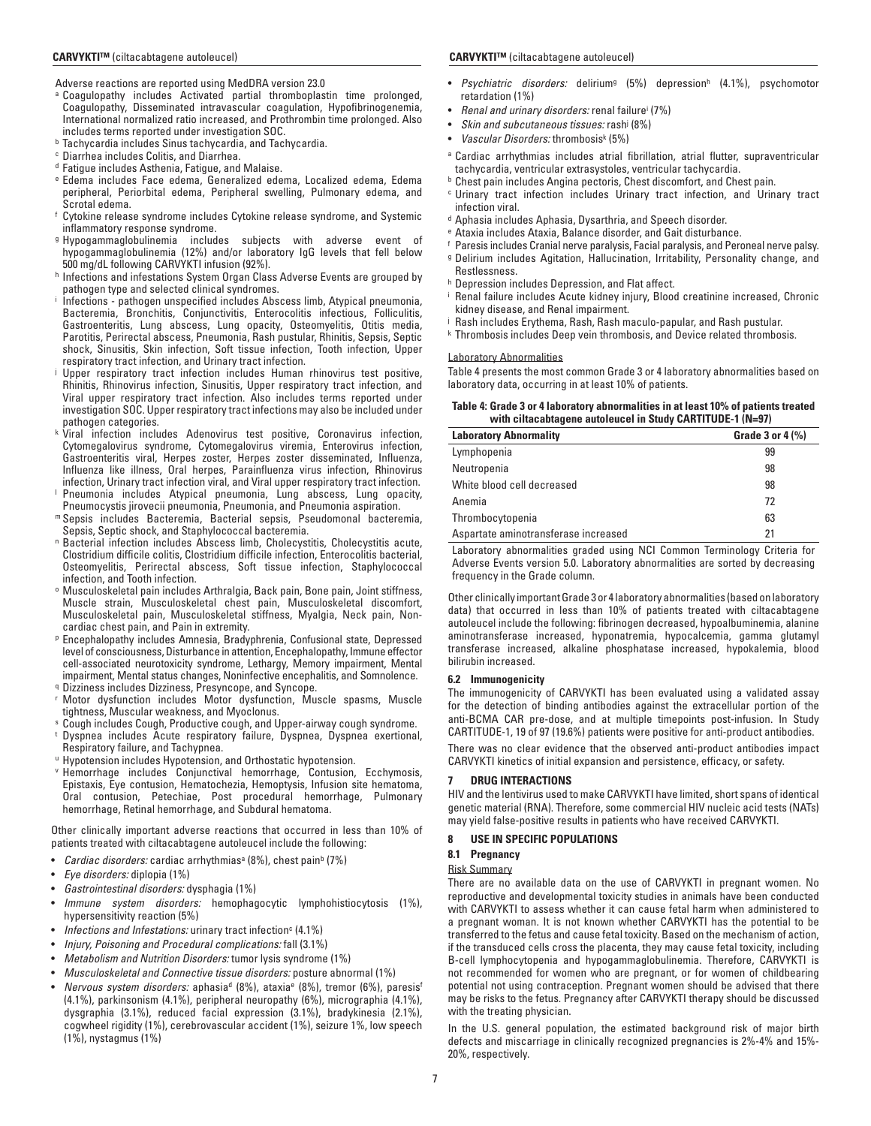Adverse reactions are reported using MedDRA version 23.0

- a Coagulopathy includes Activated partial thromboplastin time prolonged, Coagulopathy, Disseminated intravascular coagulation, Hypofibrinogenemia, International normalized ratio increased, and Prothrombin time prolonged. Also includes terms reported under investigation SOC.
- b Tachycardia includes Sinus tachycardia, and Tachycardia.
- c Diarrhea includes Colitis, and Diarrhea.
- d Fatigue includes Asthenia, Fatigue, and Malaise.
- e Edema includes Face edema, Generalized edema, Localized edema, Edema peripheral, Periorbital edema, Peripheral swelling, Pulmonary edema, and Scrotal edema.
- f Cytokine release syndrome includes Cytokine release syndrome, and Systemic inflammatory response syndrome.
- g Hypogammaglobulinemia includes subjects with adverse event of hypogammaglobulinemia (12%) and/or laboratory IgG levels that fell below 500 mg/dL following CARVYKTI infusion (92%).
- h Infections and infestations System Organ Class Adverse Events are grouped by pathogen type and selected clinical syndromes.
- i Infections - pathogen unspecified includes Abscess limb, Atypical pneumonia, Bacteremia, Bronchitis, Conjunctivitis, Enterocolitis infectious, Folliculitis, Gastroenteritis, Lung abscess, Lung opacity, Osteomyelitis, Otitis media, Parotitis, Perirectal abscess, Pneumonia, Rash pustular, Rhinitis, Sepsis, Septic shock, Sinusitis, Skin infection, Soft tissue infection, Tooth infection, Upper respiratory tract infection, and Urinary tract infection.
- j Upper respiratory tract infection includes Human rhinovirus test positive, Rhinitis, Rhinovirus infection, Sinusitis, Upper respiratory tract infection, and Viral upper respiratory tract infection. Also includes terms reported under investigation SOC. Upper respiratory tract infections may also be included under pathogen categories.
- k Viral infection includes Adenovirus test positive, Coronavirus infection, Cytomegalovirus syndrome, Cytomegalovirus viremia, Enterovirus infection, Gastroenteritis viral, Herpes zoster, Herpes zoster disseminated, Influenza, Influenza like illness, Oral herpes, Parainfluenza virus infection, Rhinovirus infection, Urinary tract infection viral, and Viral upper respiratory tract infection. l
- Pneumonia includes Atypical pneumonia, Lung abscess, Lung opacity, Pneumocystis jirovecii pneumonia, Pneumonia, and Pneumonia aspiration. m Sepsis includes Bacteremia, Bacterial sepsis, Pseudomonal bacteremia,
- Sepsis, Septic shock, and Staphylococcal bacteremia.
- n Bacterial infection includes Abscess limb, Cholecystitis, Cholecystitis acute, Clostridium difficile colitis, Clostridium difficile infection, Enterocolitis bacterial, Osteomyelitis, Perirectal abscess, Soft tissue infection, Staphylococcal infection, and Tooth infection.
- o Musculoskeletal pain includes Arthralgia, Back pain, Bone pain, Joint stiffness, Muscle strain, Musculoskeletal chest pain, Musculoskeletal discomfort, Musculoskeletal pain, Musculoskeletal stiffness, Myalgia, Neck pain, Noncardiac chest pain, and Pain in extremity.
- p Encephalopathy includes Amnesia, Bradyphrenia, Confusional state, Depressed level of consciousness, Disturbance in attention, Encephalopathy, Immune effector cell-associated neurotoxicity syndrome, Lethargy, Memory impairment, Mental impairment, Mental status changes, Noninfective encephalitis, and Somnolence.
- q Dizziness includes Dizziness, Presyncope, and Syncope.
- r Motor dysfunction includes Motor dysfunction, Muscle spasms, Muscle tightness, Muscular weakness, and Myoclonus.
- s Cough includes Cough, Productive cough, and Upper-airway cough syndrome. t Dyspnea includes Acute respiratory failure, Dyspnea, Dyspnea exertional, Respiratory failure, and Tachypnea.
- u Hypotension includes Hypotension, and Orthostatic hypotension.
- v Hemorrhage includes Conjunctival hemorrhage, Contusion, Ecchymosis, Epistaxis, Eye contusion, Hematochezia, Hemoptysis, Infusion site hematoma, Oral contusion, Petechiae, Post procedural hemorrhage, Pulmonary hemorrhage, Retinal hemorrhage, and Subdural hematoma.

Other clinically important adverse reactions that occurred in less than 10% of patients treated with ciltacabtagene autoleucel include the following:

- *Cardiac disorders:* cardiac arrhythmias<sup>a</sup> (8%), chest pain<sup>b</sup> (7%)
- *Eye disorders:* diplopia (1%)
- *Gastrointestinal disorders:* dysphagia (1%)
- *Immune system disorders:* hemophagocytic lymphohistiocytosis (1%), hypersensitivity reaction (5%)
- Infections and Infestations: urinary tract infection<sup>c</sup> (4.1%)
- *Injury, Poisoning and Procedural complications:* fall (3.1%)
- *Metabolism and Nutrition Disorders:* tumor lysis syndrome (1%)
- *Musculoskeletal and Connective tissue disorders:* posture abnormal (1%)
- *Nervous system disorders:* aphasia<sup>d</sup> (8%), ataxia<sup>e</sup> (8%), tremor (6%), paresis<sup>f</sup> (4.1%), parkinsonism (4.1%), peripheral neuropathy (6%), micrographia (4.1%), dysgraphia (3.1%), reduced facial expression (3.1%), bradykinesia (2.1%), cogwheel rigidity (1%), cerebrovascular accident (1%), seizure 1%, low speech (1%), nystagmus (1%)

- *Psychiatric disorders:* deliriumg (5%) depressionh (4.1%), psychomotor retardation (1%)
- *Renal and urinary disorders:* renal failurei (7%)
- *Skin and subcutaneous tissues:* rashj (8%)
- *Vascular Disorders:* thrombosisk (5%)
- a Cardiac arrhythmias includes atrial fibrillation, atrial flutter, supraventricular tachycardia, ventricular extrasystoles, ventricular tachycardia.
- **b** Chest pain includes Angina pectoris, Chest discomfort, and Chest pain.
- c Urinary tract infection includes Urinary tract infection, and Urinary tract infection viral.
- d Aphasia includes Aphasia, Dysarthria, and Speech disorder.
- e Ataxia includes Ataxia, Balance disorder, and Gait disturbance.
- f Paresis includes Cranial nerve paralysis, Facial paralysis, and Peroneal nerve palsy.
- g Delirium includes Agitation, Hallucination, Irritability, Personality change, and Restlessness.
- h Depression includes Depression, and Flat affect.
- i Renal failure includes Acute kidney injury, Blood creatinine increased, Chronic kidney disease, and Renal impairment.
- j Rash includes Erythema, Rash, Rash maculo-papular, and Rash pustular.
- k Thrombosis includes Deep vein thrombosis, and Device related thrombosis.

#### Laboratory Abnormalities

Table 4 presents the most common Grade 3 or 4 laboratory abnormalities based on laboratory data, occurring in at least 10% of patients.

#### **Table 4: Grade 3 or 4 laboratory abnormalities in at least 10% of patients treated with ciltacabtagene autoleucel in Study CARTITUDE-1 (N=97)**

| <b>Laboratory Abnormality</b>        | Grade 3 or $4$ $\frac{9}{6}$ |
|--------------------------------------|------------------------------|
| Lymphopenia                          | 99                           |
| Neutropenia                          | 98                           |
| White blood cell decreased           | 98                           |
| Anemia                               | 72                           |
| Thrombocytopenia                     | 63                           |
| Aspartate aminotransferase increased | 21                           |

Laboratory abnormalities graded using NCI Common Terminology Criteria for Adverse Events version 5.0. Laboratory abnormalities are sorted by decreasing frequency in the Grade column.

Other clinically important Grade 3 or 4 laboratory abnormalities (based on laboratory data) that occurred in less than 10% of patients treated with ciltacabtagene autoleucel include the following: fibrinogen decreased, hypoalbuminemia, alanine aminotransferase increased, hyponatremia, hypocalcemia, gamma glutamyl transferase increased, alkaline phosphatase increased, hypokalemia, blood bilirubin increased.

#### **6.2 Immunogenicity**

The immunogenicity of CARVYKTI has been evaluated using a validated assay for the detection of binding antibodies against the extracellular portion of the anti-BCMA CAR pre-dose, and at multiple timepoints post-infusion. In Study CARTITUDE-1, 19 of 97 (19.6%) patients were positive for anti-product antibodies.

There was no clear evidence that the observed anti-product antibodies impact CARVYKTI kinetics of initial expansion and persistence, efficacy, or safety.

#### **7 DRUG INTERACTIONS**

HIV and the lentivirus used to make CARVYKTI have limited, short spans of identical genetic material (RNA). Therefore, some commercial HIV nucleic acid tests (NATs) may yield false-positive results in patients who have received CARVYKTI.

#### **8 USE IN SPECIFIC POPULATIONS**

#### **8.1 Pregnancy**

#### Risk Summary

There are no available data on the use of CARVYKTI in pregnant women. No reproductive and developmental toxicity studies in animals have been conducted with CARVYKTI to assess whether it can cause fetal harm when administered to a pregnant woman. It is not known whether CARVYKTI has the potential to be transferred to the fetus and cause fetal toxicity. Based on the mechanism of action, if the transduced cells cross the placenta, they may cause fetal toxicity, including B-cell lymphocytopenia and hypogammaglobulinemia. Therefore, CARVYKTI is not recommended for women who are pregnant, or for women of childbearing potential not using contraception. Pregnant women should be advised that there may be risks to the fetus. Pregnancy after CARVYKTI therapy should be discussed with the treating physician.

In the U.S. general population, the estimated background risk of major birth defects and miscarriage in clinically recognized pregnancies is 2%-4% and 15%- 20%, respectively.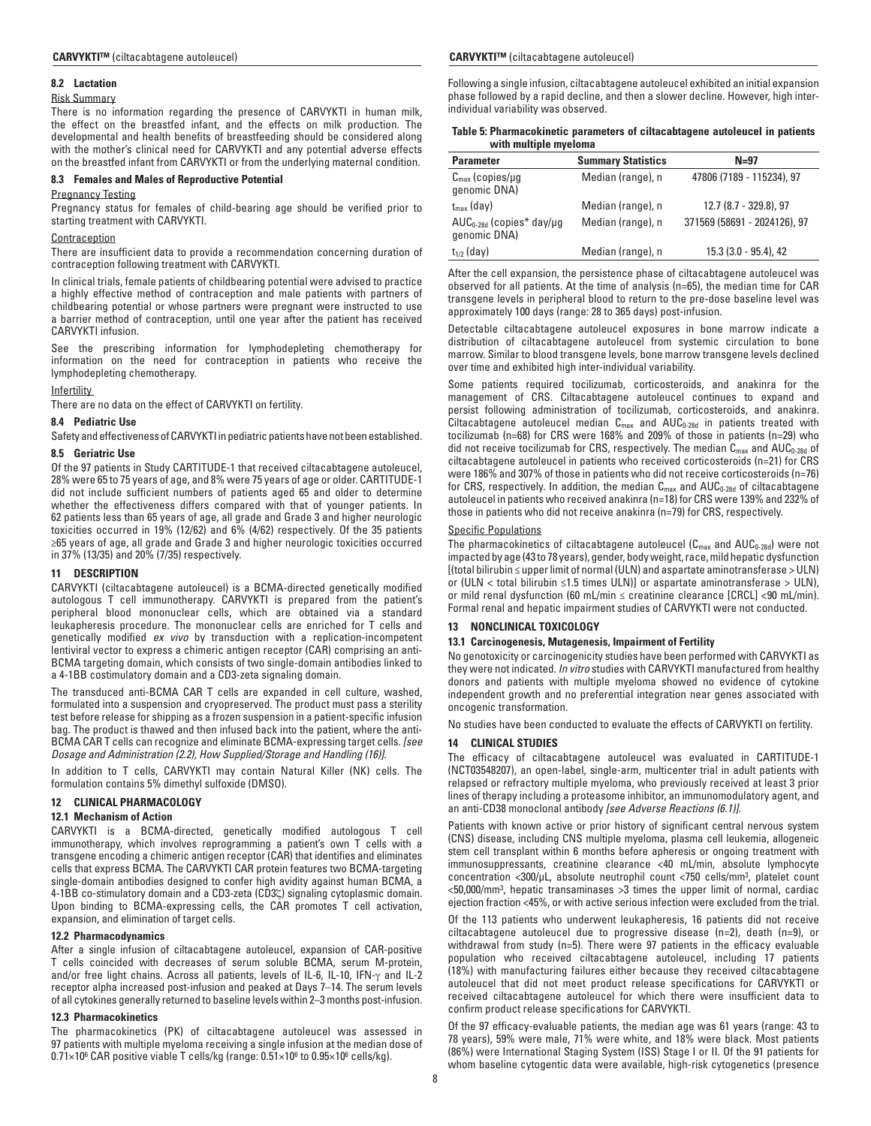#### **8.2 Lactation**

#### Risk Summary

There is no information regarding the presence of CARVYKTI in human milk, the effect on the breastfed infant, and the effects on milk production. The developmental and health benefits of breastfeeding should be considered along with the mother's clinical need for CARVYKTI and any potential adverse effects on the breastfed infant from CARVYKTI or from the underlying maternal condition.

## **8.3 Females and Males of Reproductive Potential**

## Pregnancy Testing

Pregnancy status for females of child-bearing age should be verified prior to starting treatment with CARVYKTI.

#### Contraception

There are insufficient data to provide a recommendation concerning duration of contraception following treatment with CARVYKTI.

In clinical trials, female patients of childbearing potential were advised to practice a highly effective method of contraception and male patients with partners of childbearing potential or whose partners were pregnant were instructed to use a barrier method of contraception, until one year after the patient has received CARVYKTI infusion.

See the prescribing information for lymphodepleting chemotherapy for information on the need for contraception in patients who receive the lymphodepleting chemotherapy.

#### **Infertility**

There are no data on the effect of CARVYKTI on fertility.

#### **8.4 Pediatric Use**

Safety and effectiveness of CARVYKTI in pediatric patients have not been established.

#### **8.5 Geriatric Use**

Of the 97 patients in Study CARTITUDE-1 that received ciltacabtagene autoleucel, 28% were 65 to 75 years of age, and 8% were 75 years of age or older. CARTITUDE-1 did not include sufficient numbers of patients aged 65 and older to determine whether the effectiveness differs compared with that of younger patients. In 62 patients less than 65 years of age, all grade and Grade 3 and higher neurologic toxicities occurred in 19% (12/62) and 6% (4/62) respectively. Of the 35 patients ≥65 years of age, all grade and Grade 3 and higher neurologic toxicities occurred in 37% (13/35) and 20% (7/35) respectively.

## **11 DESCRIPTION**

CARVYKTI (ciltacabtagene autoleucel) is a BCMA-directed genetically modified autologous T cell immunotherapy. CARVYKTI is prepared from the patient's peripheral blood mononuclear cells, which are obtained via a standard leukapheresis procedure. The mononuclear cells are enriched for T cells and genetically modified *ex vivo* by transduction with a replication-incompetent lentiviral vector to express a chimeric antigen receptor (CAR) comprising an anti-BCMA targeting domain, which consists of two single-domain antibodies linked to a 4-1BB costimulatory domain and a CD3-zeta signaling domain.

The transduced anti-BCMA CAR T cells are expanded in cell culture, washed, formulated into a suspension and cryopreserved. The product must pass a sterility test before release for shipping as a frozen suspension in a patient-specific infusion bag. The product is thawed and then infused back into the patient, where the anti-BCMA CAR T cells can recognize and eliminate BCMA-expressing target cells. *[see Dosage and Administration (2.2), How Supplied/Storage and Handling (16)].*

In addition to T cells, CARVYKTI may contain Natural Killer (NK) cells. The formulation contains 5% dimethyl sulfoxide (DMSO).

## **12 CLINICAL PHARMACOLOGY**

#### **12.1 Mechanism of Action**

CARVYKTI is a BCMA-directed, genetically modified autologous T cell immunotherapy, which involves reprogramming a patient's own T cells with a transgene encoding a chimeric antigen receptor (CAR) that identifies and eliminates cells that express BCMA. The CARVYKTI CAR protein features two BCMA-targeting single-domain antibodies designed to confer high avidity against human BCMA, a 4-1BB co-stimulatory domain and a CD3-zeta (CD3ζ) signaling cytoplasmic domain. Upon binding to BCMA-expressing cells, the CAR promotes T cell activation, expansion, and elimination of target cells.

# **12.2 Pharmacodynamics**

After a single infusion of ciltacabtagene autoleucel, expansion of CAR-positive T cells coincided with decreases of serum soluble BCMA, serum M-protein, and/or free light chains. Across all patients, levels of IL-6, IL-10, IFN-γ and IL-2 receptor alpha increased post-infusion and peaked at Days 7–14. The serum levels of all cytokines generally returned to baseline levels within 2–3 months post-infusion.

## **12.3 Pharmacokinetics**

The pharmacokinetics (PK) of ciltacabtagene autoleucel was assessed in 97 patients with multiple myeloma receiving a single infusion at the median dose of 0.71×106 CAR positive viable T cells/kg (range: 0.51×106 to 0.95×106 cells/kg).

## **CARVYKTI™** (ciltacabtagene autoleucel) **CARVYKTI™** (ciltacabtagene autoleucel)

Following a single infusion, ciltacabtagene autoleucel exhibited an initial expansion phase followed by a rapid decline, and then a slower decline. However, high interindividual variability was observed.

|                       | Table 5: Pharmacokinetic parameters of ciltacabtagene autoleucel in patients |  |
|-----------------------|------------------------------------------------------------------------------|--|
| with multiple myeloma |                                                                              |  |

| <b>Parameter</b>                              | <b>Summary Statistics</b> | $N=97$                       |
|-----------------------------------------------|---------------------------|------------------------------|
| $C_{\text{max}}$ (copies/µg<br>genomic DNA)   | Median (range), n         | 47806 (7189 - 115234), 97    |
| $t_{\rm max}$ (day)                           | Median (range), n         | 12.7 (8.7 - 329.8), 97       |
| $AUC_{0-28d}$ (copies* day/ug<br>genomic DNA) | Median (range), n         | 371569 (58691 - 2024126), 97 |
| $t_{1/2}$ (day)                               | Median (range), n         | 15.3 (3.0 - 95.4), 42        |

After the cell expansion, the persistence phase of ciltacabtagene autoleucel was observed for all patients. At the time of analysis (n=65), the median time for CAR transgene levels in peripheral blood to return to the pre-dose baseline level was approximately 100 days (range: 28 to 365 days) post-infusion.

Detectable ciltacabtagene autoleucel exposures in bone marrow indicate a distribution of ciltacabtagene autoleucel from systemic circulation to bone marrow. Similar to blood transgene levels, bone marrow transgene levels declined over time and exhibited high inter-individual variability.

Some patients required tocilizumab, corticosteroids, and anakinra for the management of CRS. Ciltacabtagene autoleucel continues to expand and persist following administration of tocilizumab, corticosteroids, and anakinra. Ciltacabtagene autoleucel median  $C_{max}$  and  $AUC_{0-28d}$  in patients treated with tocilizumab (n=68) for CRS were 168% and 209% of those in patients (n=29) who did not receive tocilizumab for CRS, respectively. The median  $C_{\text{max}}$  and  $\text{AUC}_{0\text{-}28\text{d}}$  of ciltacabtagene autoleucel in patients who received corticosteroids (n=21) for CRS were 186% and 307% of those in patients who did not receive corticosteroids (n=76) for CRS, respectively. In addition, the median  $C_{\text{max}}$  and  $AUC_{0-28d}$  of ciltacabtagene autoleucel in patients who received anakinra (n=18) for CRS were 139% and 232% of those in patients who did not receive anakinra (n=79) for CRS, respectively.

## Specific Populations

The pharmacokinetics of ciltacabtagene autoleucel  $(C_{max}$  and  $AUC_{0-28d})$  were not impacted by age (43 to 78 years), gender, body weight, race, mild hepatic dysfunction [(total bilirubin ≤ upper limit of normal (ULN) and aspartate aminotransferase > ULN) or (ULN < total bilirubin ≤1.5 times ULN)] or aspartate aminotransferase > ULN), or mild renal dysfunction (60 mL/min ≤ creatinine clearance [CRCL] <90 mL/min). Formal renal and hepatic impairment studies of CARVYKTI were not conducted.

## **13 NONCLINICAL TOXICOLOGY**

#### **13.1 Carcinogenesis, Mutagenesis, Impairment of Fertility**

No genotoxicity or carcinogenicity studies have been performed with CARVYKTI as they were not indicated. *In vitro* studies with CARVYKTI manufactured from healthy donors and patients with multiple myeloma showed no evidence of cytokine independent growth and no preferential integration near genes associated with oncogenic transformation.

No studies have been conducted to evaluate the effects of CARVYKTI on fertility.

## **14 CLINICAL STUDIES**

The efficacy of ciltacabtagene autoleucel was evaluated in CARTITUDE-1 (NCT03548207), an open-label, single-arm, multicenter trial in adult patients with relapsed or refractory multiple myeloma, who previously received at least 3 prior lines of therapy including a proteasome inhibitor, an immunomodulatory agent, and an anti-CD38 monoclonal antibody *[see Adverse Reactions (6.1)].*

Patients with known active or prior history of significant central nervous system (CNS) disease, including CNS multiple myeloma, plasma cell leukemia, allogeneic stem cell transplant within 6 months before apheresis or ongoing treatment with immunosuppressants, creatinine clearance <40 mL/min, absolute lymphocyte concentration <300/µL, absolute neutrophil count <750 cells/mm3, platelet count <50,000/mm3, hepatic transaminases >3 times the upper limit of normal, cardiac ejection fraction <45%, or with active serious infection were excluded from the trial.

Of the 113 patients who underwent leukapheresis, 16 patients did not receive ciltacabtagene autoleucel due to progressive disease (n=2), death (n=9), or withdrawal from study (n=5). There were 97 patients in the efficacy evaluable population who received ciltacabtagene autoleucel, including 17 patients (18%) with manufacturing failures either because they received ciltacabtagene autoleucel that did not meet product release specifications for CARVYKTI or received ciltacabtagene autoleucel for which there were insufficient data to confirm product release specifications for CARVYKTI.

Of the 97 efficacy-evaluable patients, the median age was 61 years (range: 43 to 78 years), 59% were male, 71% were white, and 18% were black. Most patients (86%) were International Staging System (ISS) Stage I or II. Of the 91 patients for whom baseline cytogentic data were available, high-risk cytogenetics (presence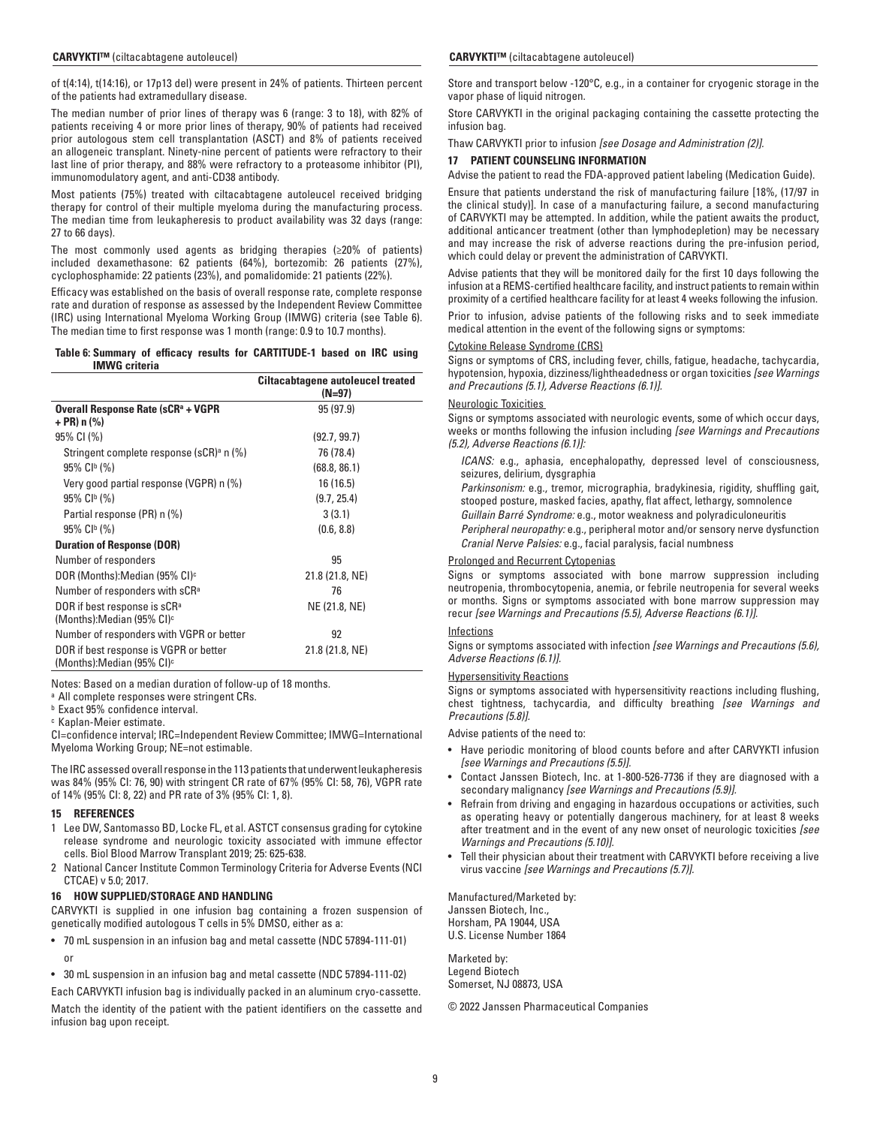of t(4:14), t(14:16), or 17p13 del) were present in 24% of patients. Thirteen percent of the patients had extramedullary disease.

The median number of prior lines of therapy was 6 (range: 3 to 18), with 82% of patients receiving 4 or more prior lines of therapy, 90% of patients had received prior autologous stem cell transplantation (ASCT) and 8% of patients received an allogeneic transplant. Ninety-nine percent of patients were refractory to their last line of prior therapy, and 88% were refractory to a proteasome inhibitor (PI), immunomodulatory agent, and anti-CD38 antibody.

Most patients (75%) treated with ciltacabtagene autoleucel received bridging therapy for control of their multiple myeloma during the manufacturing process. The median time from leukapheresis to product availability was 32 days (range: 27 to 66 days).

The most commonly used agents as bridging therapies (≥20% of patients) included dexamethasone: 62 patients (64%), bortezomib: 26 patients (27%), cyclophosphamide: 22 patients (23%), and pomalidomide: 21 patients (22%).

Efficacy was established on the basis of overall response rate, complete response rate and duration of response as assessed by the Independent Review Committee (IRC) using International Myeloma Working Group (IMWG) criteria (see Table 6). The median time to first response was 1 month (range: 0.9 to 10.7 months).

#### **Table 6: Summary of efficacy results for CARTITUDE-1 based on IRC using IMWG criteria**

|                                                                                 | <b>Ciltacabtagene autoleucel treated</b><br>(N=97) |
|---------------------------------------------------------------------------------|----------------------------------------------------|
| Overall Response Rate (sCR <sup>a</sup> + VGPR<br>+ PR) n (%)                   | 95(97.9)                                           |
| 95% CI (%)                                                                      | (92.7, 99.7)                                       |
| Stringent complete response (sCR) <sup>a</sup> n (%)                            | 76 (78.4)                                          |
| $95\%$ C <sub>l<sup>b</sup></sub> (%)                                           | (68.8, 86.1)                                       |
| Very good partial response (VGPR) n (%)                                         | 16 (16.5)                                          |
| $95\%$ CI <sup>b</sup> (%)                                                      | (9.7, 25.4)                                        |
| Partial response (PR) n (%)                                                     | 3(3.1)                                             |
| 95% CI <sup>b</sup> (%)                                                         | (0.6, 8.8)                                         |
| <b>Duration of Response (DOR)</b>                                               |                                                    |
| Number of responders                                                            | 95                                                 |
| DOR (Months):Median (95% CI) <sup>c</sup>                                       | 21.8 (21.8, NE)                                    |
| Number of responders with sCR <sup>a</sup>                                      | 76                                                 |
| DOR if best response is sCRª<br>(Months):Median (95% CI) <sup>c</sup>           | NE (21.8, NE)                                      |
| Number of responders with VGPR or better                                        | 92                                                 |
| DOR if best response is VGPR or better<br>(Months):Median (95% CI) <sup>c</sup> | 21.8 (21.8, NE)                                    |

Notes: Based on a median duration of follow-up of 18 months.

a All complete responses were stringent CRs.

**b** Exact 95% confidence interval.

c Kaplan-Meier estimate.

CI=confidence interval; IRC=Independent Review Committee; IMWG=International Myeloma Working Group; NE=not estimable.

The IRC assessed overall response in the 113 patients that underwent leukapheresis was 84% (95% CI: 76, 90) with stringent CR rate of 67% (95% CI: 58, 76), VGPR rate of 14% (95% CI: 8, 22) and PR rate of 3% (95% CI: 1, 8).

#### **15 REFERENCES**

- 1 Lee DW, Santomasso BD, Locke FL, et al. ASTCT consensus grading for cytokine release syndrome and neurologic toxicity associated with immune effector cells. Biol Blood Marrow Transplant 2019; 25: 625-638.
- 2 National Cancer Institute Common Terminology Criteria for Adverse Events (NCI CTCAE) v 5.0; 2017.

## **16 HOW SUPPLIED/STORAGE AND HANDLING**

CARVYKTI is supplied in one infusion bag containing a frozen suspension of genetically modified autologous T cells in 5% DMSO, either as a:

- 70 mL suspension in an infusion bag and metal cassette (NDC 57894-111-01) or
- 30 mL suspension in an infusion bag and metal cassette (NDC 57894-111-02)

Each CARVYKTI infusion bag is individually packed in an aluminum cryo-cassette.

Match the identity of the patient with the patient identifiers on the cassette and infusion bag upon receipt.

Store and transport below -120°C, e.g., in a container for cryogenic storage in the vapor phase of liquid nitrogen.

Store CARVYKTI in the original packaging containing the cassette protecting the infusion bag.

Thaw CARVYKTI prior to infusion *[see Dosage and Administration (2)].*

## **17 PATIENT COUNSELING INFORMATION**

Advise the patient to read the FDA-approved patient labeling (Medication Guide).

Ensure that patients understand the risk of manufacturing failure [18%, (17/97 in the clinical study)]. In case of a manufacturing failure, a second manufacturing of CARVYKTI may be attempted. In addition, while the patient awaits the product, additional anticancer treatment (other than lymphodepletion) may be necessary and may increase the risk of adverse reactions during the pre-infusion period, which could delay or prevent the administration of CARVYKTI.

Advise patients that they will be monitored daily for the first 10 days following the infusion at a REMS-certified healthcare facility, and instruct patients to remain within proximity of a certified healthcare facility for at least 4 weeks following the infusion.

Prior to infusion, advise patients of the following risks and to seek immediate medical attention in the event of the following signs or symptoms:

## Cytokine Release Syndrome (CRS)

Signs or symptoms of CRS, including fever, chills, fatigue, headache, tachycardia, hypotension, hypoxia, dizziness/lightheadedness or organ toxicities *[see Warnings and Precautions (5.1), Adverse Reactions (6.1)].*

## Neurologic Toxicities

Signs or symptoms associated with neurologic events, some of which occur days, weeks or months following the infusion including *[see Warnings and Precautions (5.2), Adverse Reactions (6.1)]:*

- *ICANS:* e.g., aphasia, encephalopathy, depressed level of consciousness, seizures, delirium, dysgraphia
- *Parkinsonism:* e.g., tremor, micrographia, bradykinesia, rigidity, shuffling gait, stooped posture, masked facies, apathy, flat affect, lethargy, somnolence
- *Guillain Barré Syndrome:* e.g., motor weakness and polyradiculoneuritis
- *Peripheral neuropathy:* e.g., peripheral motor and/or sensory nerve dysfunction *Cranial Nerve Palsies:* e.g., facial paralysis, facial numbness

## Prolonged and Recurrent Cytopenias

Signs or symptoms associated with bone marrow suppression including neutropenia, thrombocytopenia, anemia, or febrile neutropenia for several weeks or months. Signs or symptoms associated with bone marrow suppression may recur *[see Warnings and Precautions (5.5), Adverse Reactions (6.1)].*

## Infections

Signs or symptoms associated with infection *[see Warnings and Precautions (5.6), Adverse Reactions (6.1)].*

## Hypersensitivity Reactions

Signs or symptoms associated with hypersensitivity reactions including flushing, chest tightness, tachycardia, and difficulty breathing *[see Warnings and Precautions (5.8)].*

Advise patients of the need to:

- Have periodic monitoring of blood counts before and after CARVYKTI infusion *[see Warnings and Precautions (5.5)].*
- Contact Janssen Biotech, Inc. at 1-800-526-7736 if they are diagnosed with a secondary malignancy *[see Warnings and Precautions (5.9)].*
- Refrain from driving and engaging in hazardous occupations or activities, such as operating heavy or potentially dangerous machinery, for at least 8 weeks after treatment and in the event of any new onset of neurologic toxicities *[see Warnings and Precautions (5.10)].*
- Tell their physician about their treatment with CARVYKTI before receiving a live virus vaccine *[see Warnings and Precautions (5.7)].*

Manufactured/Marketed by: Janssen Biotech, Inc., Horsham, PA 19044, USA U.S. License Number 1864

Marketed by: Legend Biotech Somerset, NJ 08873, USA

© 2022 Janssen Pharmaceutical Companies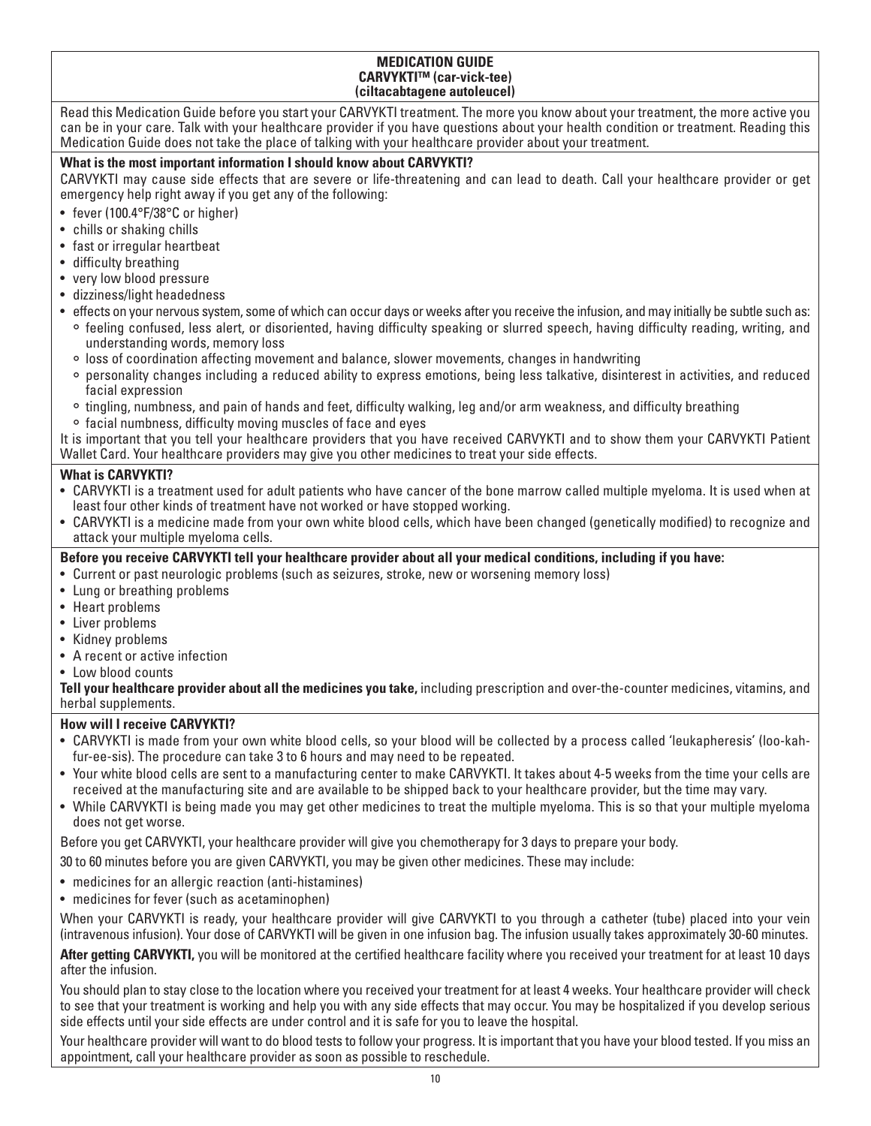# **MEDICATION GUIDE CARVYKTI™ (car-vick-tee) (ciltacabtagene autoleucel)**

Read this Medication Guide before you start your CARVYKTI treatment. The more you know about your treatment, the more active you can be in your care. Talk with your healthcare provider if you have questions about your health condition or treatment. Reading this Medication Guide does not take the place of talking with your healthcare provider about your treatment.

# **What is the most important information I should know about CARVYKTI?**

CARVYKTI may cause side effects that are severe or life-threatening and can lead to death. Call your healthcare provider or get emergency help right away if you get any of the following:

- fever (100.4°F/38°C or higher)
- chills or shaking chills
- fast or irregular heartbeat
- difficulty breathing
- very low blood pressure
- dizziness/light headedness
- effects on your nervous system, some of which can occur days or weeks after you receive the infusion, and may initially be subtle such as:
	- ° feeling confused, less alert, or disoriented, having difficulty speaking or slurred speech, having difficulty reading, writing, and understanding words, memory loss
	- ° loss of coordination affecting movement and balance, slower movements, changes in handwriting
	- ° personality changes including a reduced ability to express emotions, being less talkative, disinterest in activities, and reduced facial expression
	- ° tingling, numbness, and pain of hands and feet, difficulty walking, leg and/or arm weakness, and difficulty breathing
	- ° facial numbness, difficulty moving muscles of face and eyes

It is important that you tell your healthcare providers that you have received CARVYKTI and to show them your CARVYKTI Patient Wallet Card. Your healthcare providers may give you other medicines to treat your side effects.

# **What is CARVYKTI?**

- CARVYKTI is a treatment used for adult patients who have cancer of the bone marrow called multiple myeloma. It is used when at least four other kinds of treatment have not worked or have stopped working.
- CARVYKTI is a medicine made from your own white blood cells, which have been changed (genetically modified) to recognize and attack your multiple myeloma cells.
- **Before you receive CARVYKTI tell your healthcare provider about all your medical conditions, including if you have:**
- Current or past neurologic problems (such as seizures, stroke, new or worsening memory loss)
- Lung or breathing problems
- Heart problems
- Liver problems
- Kidney problems
- A recent or active infection
- Low blood counts

**Tell your healthcare provider about all the medicines you take,** including prescription and over-the-counter medicines, vitamins, and herbal supplements.

# **How will I receive CARVYKTI?**

- CARVYKTI is made from your own white blood cells, so your blood will be collected by a process called 'leukapheresis' (loo-kahfur-ee-sis). The procedure can take 3 to 6 hours and may need to be repeated.
- Your white blood cells are sent to a manufacturing center to make CARVYKTI. It takes about 4-5 weeks from the time your cells are received at the manufacturing site and are available to be shipped back to your healthcare provider, but the time may vary.
- While CARVYKTI is being made you may get other medicines to treat the multiple myeloma. This is so that your multiple myeloma does not get worse.

Before you get CARVYKTI, your healthcare provider will give you chemotherapy for 3 days to prepare your body.

30 to 60 minutes before you are given CARVYKTI, you may be given other medicines. These may include:

- medicines for an allergic reaction (anti-histamines)
- medicines for fever (such as acetaminophen)

When your CARVYKTI is ready, your healthcare provider will give CARVYKTI to you through a catheter (tube) placed into your vein (intravenous infusion). Your dose of CARVYKTI will be given in one infusion bag. The infusion usually takes approximately 30-60 minutes.

After getting CARVYKTI, you will be monitored at the certified healthcare facility where you received your treatment for at least 10 days after the infusion.

You should plan to stay close to the location where you received your treatment for at least 4 weeks. Your healthcare provider will check to see that your treatment is working and help you with any side effects that may occur. You may be hospitalized if you develop serious side effects until your side effects are under control and it is safe for you to leave the hospital.

Your healthcare provider will want to do blood tests to follow your progress. It is important that you have your blood tested. If you miss an appointment, call your healthcare provider as soon as possible to reschedule.